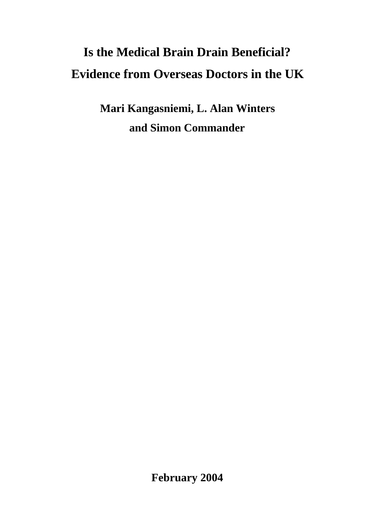# **Is the Medical Brain Drain Beneficial? Evidence from Overseas Doctors in the UK**

**Mari Kangasniemi, L. Alan Winters and Simon Commander**

**February 2004**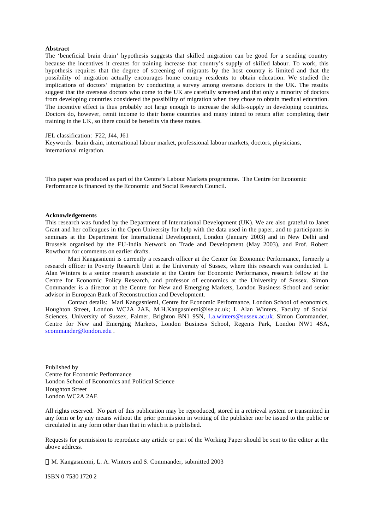#### **Abstract**

The 'beneficial brain drain' hypothesis suggests that skilled migration can be good for a sending country because the incentives it creates for training increase that country's supply of skilled labour. To work, this hypothesis requires that the degree of screening of migrants by the host country is limited and that the possibility of migration actually encourages home country residents to obtain education. We studied the implications of doctors' migration by conducting a survey among overseas doctors in the UK. The results suggest that the overseas doctors who come to the UK are carefully screened and that only a minority of doctors from developing countries considered the possibility of migration when they chose to obtain medical education. The incentive effect is thus probably not large enough to increase the skills-supply in developing countries. Doctors do, however, remit income to their home countries and many intend to return after completing their training in the UK, so there could be benefits via these routes.

JEL classification: F22, J44, J61

Keywords: brain drain, international labour market, professional labour markets, doctors, physicians, international migration.

This paper was produced as part of the Centre's Labour Markets programme. The Centre for Economic Performance is financed by the Economic and Social Research Council.

#### **Acknowledgements**

This research was funded by the Department of International Development (UK). We are also grateful to Janet Grant and her colleagues in the Open University for help with the data used in the paper, and to participants in seminars at the Department for International Development, London (January 2003) and in New Delhi and Brussels organised by the EU-India Network on Trade and Development (May 2003), and Prof. Robert Rowthorn for comments on earlier drafts.

Mari Kangasniemi is currently a research officer at the Center for Economic Performance, formerly a research officer in Poverty Research Unit at the University of Sussex, where this research was conducted. L Alan Winters is a senior research associate at the Centre for Economic Performance, research fellow at the Centre for Economic Policy Research, and professor of economics at the University of Sussex. Simon Commander is a director at the Centre for New and Emerging Markets, London Business School and senior advisor in European Bank of Reconstruction and Development.

Contact details: Mari Kangasniemi, Centre for Economic Performance, London School of economics, Houghton Street, London WC2A 2AE, M.H.Kangasniemi@lse.ac.uk; L Alan Winters, Faculty of Social Sciences, University of Sussex, Falmer, Brighton BN1 9SN, l.a.winters@sussex.ac.uk; Simon Commander, Centre for New and Emerging Markets, London Business School, Regents Park, London NW1 4SA, scommander@london.edu .

Published by Centre for Economic Performance London School of Economics and Political Science Houghton Street London WC2A 2AE

All rights reserved. No part of this publication may be reproduced, stored in a retrieval system or transmitted in any form or by any means without the prior permission in writing of the publisher nor be issued to the public or circulated in any form other than that in which it is published.

Requests for permission to reproduce any article or part of the Working Paper should be sent to the editor at the above address.

M. Kangasniemi, L. A. Winters and S. Commander, submitted 2003

ISBN 0 7530 1720 2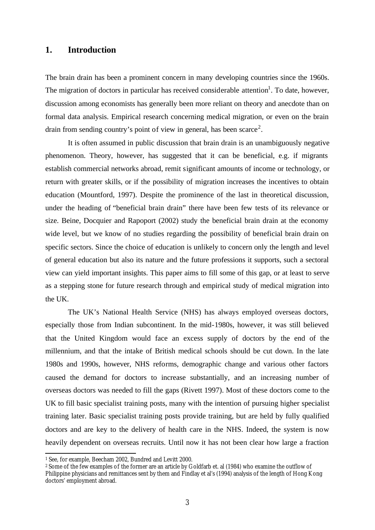## **1. Introduction**

The brain drain has been a prominent concern in many developing countries since the 1960s. The migration of doctors in particular has received considerable attention<sup>1</sup>. To date, however, discussion among economists has generally been more reliant on theory and anecdote than on formal data analysis. Empirical research concerning medical migration, or even on the brain drain from sending country's point of view in general, has been scarce<sup>2</sup>.

It is often assumed in public discussion that brain drain is an unambiguously negative phenomenon. Theory, however, has suggested that it can be beneficial, e.g. if migrants establish commercial networks abroad, remit significant amounts of income or technology, or return with greater skills, or if the possibility of migration increases the incentives to obtain education (Mountford, 1997). Despite the prominence of the last in theoretical discussion, under the heading of "beneficial brain drain" there have been few tests of its relevance or size. Beine, Docquier and Rapoport (2002) study the beneficial brain drain at the economy wide level, but we know of no studies regarding the possibility of beneficial brain drain on specific sectors. Since the choice of education is unlikely to concern only the length and level of general education but also its nature and the future professions it supports, such a sectoral view can yield important insights. This paper aims to fill some of this gap, or at least to serve as a stepping stone for future research through and empirical study of medical migration into the UK.

The UK's National Health Service (NHS) has always employed overseas doctors, especially those from Indian subcontinent. In the mid-1980s, however, it was still believed that the United Kingdom would face an excess supply of doctors by the end of the millennium, and that the intake of British medical schools should be cut down. In the late 1980s and 1990s, however, NHS reforms, demographic change and various other factors caused the demand for doctors to increase substantially, and an increasing number of overseas doctors was needed to fill the gaps (Rivett 1997). Most of these doctors come to the UK to fill basic specialist training posts, many with the intention of pursuing higher specialist training later. Basic specialist training posts provide training, but are held by fully qualified doctors and are key to the delivery of health care in the NHS. Indeed, the system is now heavily dependent on overseas recruits. Until now it has not been clear how large a fraction

<sup>1</sup> See, for example, Beecham 2002, Bundred and Levitt 2000.

<sup>2</sup> Some of the few examples of the former are an article by Goldfarb et. al (1984) who examine the outflow of Philippine physicians and remittances sent by them and Findlay et al's (1994) analysis of the length of Hong Kong doctors' employment abroad.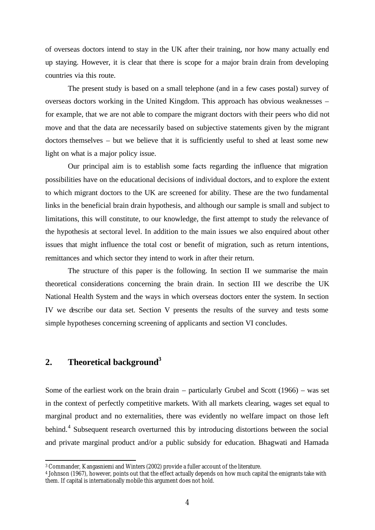of overseas doctors intend to stay in the UK after their training, nor how many actually end up staying. However, it is clear that there is scope for a major brain drain from developing countries via this route.

The present study is based on a small telephone (and in a few cases postal) survey of overseas doctors working in the United Kingdom. This approach has obvious weaknesses – for example, that we are not able to compare the migrant doctors with their peers who did not move and that the data are necessarily based on subjective statements given by the migrant doctors themselves – but we believe that it is sufficiently useful to shed at least some new light on what is a major policy issue.

Our principal aim is to establish some facts regarding the influence that migration possibilities have on the educational decisions of individual doctors, and to explore the extent to which migrant doctors to the UK are screened for ability. These are the two fundamental links in the beneficial brain drain hypothesis, and although our sample is small and subject to limitations, this will constitute, to our knowledge, the first attempt to study the relevance of the hypothesis at sectoral level. In addition to the main issues we also enquired about other issues that might influence the total cost or benefit of migration, such as return intentions, remittances and which sector they intend to work in after their return.

The structure of this paper is the following. In section II we summarise the main theoretical considerations concerning the brain drain. In section III we describe the UK National Health System and the ways in which overseas doctors enter the system. In section IV we describe our data set. Section V presents the results of the survey and tests some simple hypotheses concerning screening of applicants and section VI concludes.

# **2. Theoretical background<sup>3</sup>**

l

Some of the earliest work on the brain drain – particularly Grubel and Scott (1966) – was set in the context of perfectly competitive markets. With all markets clearing, wages set equal to marginal product and no externalities, there was evidently no welfare impact on those left behind.<sup>4</sup> Subsequent research overturned this by introducing distortions between the social and private marginal product and/or a public subsidy for education. Bhagwati and Hamada

<sup>3</sup> Commander, Kangasniemi and Winters (2002) provide a fuller account of the literature.

<sup>4</sup> Johnson (1967), however, points out that the effect actually depends on how much capital the emigrants take with them. If capital is internationally mobile this argument does not hold.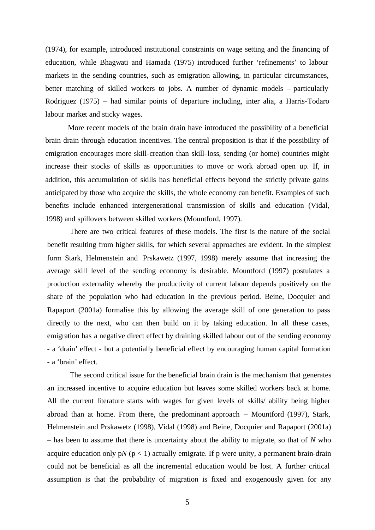(1974), for example, introduced institutional constraints on wage setting and the financing of education, while Bhagwati and Hamada (1975) introduced further 'refinements' to labour markets in the sending countries, such as emigration allowing, in particular circumstances, better matching of skilled workers to jobs. A number of dynamic models – particularly Rodriguez (1975) – had similar points of departure including, inter alia, a Harris-Todaro labour market and sticky wages.

More recent models of the brain drain have introduced the possibility of a beneficial brain drain through education incentives. The central proposition is that if the possibility of emigration encourages more skill-creation than skill-loss, sending (or home) countries might increase their stocks of skills as opportunities to move or work abroad open up. If, in addition, this accumulation of skills has beneficial effects beyond the strictly private gains anticipated by those who acquire the skills, the whole economy can benefit. Examples of such benefits include enhanced intergenerational transmission of skills and education (Vidal, 1998) and spillovers between skilled workers (Mountford, 1997).

There are two critical features of these models. The first is the nature of the social benefit resulting from higher skills, for which several approaches are evident. In the simplest form Stark, Helmenstein and Prskawetz (1997, 1998) merely assume that increasing the average skill level of the sending economy is desirable. Mountford (1997) postulates a production externality whereby the productivity of current labour depends positively on the share of the population who had education in the previous period. Beine, Docquier and Rapaport (2001a) formalise this by allowing the average skill of one generation to pass directly to the next, who can then build on it by taking education. In all these cases, emigration has a negative direct effect by draining skilled labour out of the sending economy - a 'drain' effect - but a potentially beneficial effect by encouraging human capital formation - a 'brain' effect.

The second critical issue for the beneficial brain drain is the mechanism that generates an increased incentive to acquire education but leaves some skilled workers back at home. All the current literature starts with wages for given levels of skills/ ability being higher abroad than at home. From there, the predominant approach – Mountford (1997), Stark, Helmenstein and Prskawetz (1998), Vidal (1998) and Beine, Docquier and Rapaport (2001a) – has been to assume that there is uncertainty about the ability to migrate, so that of *N* who acquire education only  $pN (p < 1)$  actually emigrate. If p were unity, a permanent brain-drain could not be beneficial as all the incremental education would be lost. A further critical assumption is that the probability of migration is fixed and exogenously given for any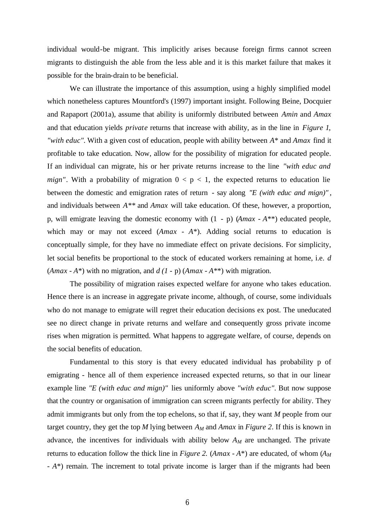individual would-be migrant. This implicitly arises because foreign firms cannot screen migrants to distinguish the able from the less able and it is this market failure that makes it possible for the brain-drain to be beneficial.

We can illustrate the importance of this assumption, using a highly simplified model which nonetheless captures Mountford's (1997) important insight. Following Beine, Docquier and Rapaport (2001a), assume that ability is uniformly distributed between *Amin* and *Amax* and that education yields *private* returns that increase with ability, as in the line in *Figure 1*, *"with educ".* With a given cost of education, people with ability between *A*\* and *Amax* find it profitable to take education. Now, allow for the possibility of migration for educated people. If an individual can migrate, his or her private returns increase to the line *"with educ and mign"*. With a probability of migration  $0 < p < 1$ , the expected returns to education lie between the domestic and emigration rates of return - say along *"E (with educ and mign)"* , and individuals between *A\*\** and *Amax* will take education. Of these, however, a proportion, p, will emigrate leaving the domestic economy with (1 - p) (*Amax - A*\*\*) educated people, which may or may not exceed (*Amax - A*\*). Adding social returns to education is conceptually simple, for they have no immediate effect on private decisions. For simplicity, let social benefits be proportional to the stock of educated workers remaining at home, i.e. *d* (*Amax - A*\*) with no migration, and  $d(1-p)$  (*Amax - A*\*\*) with migration.

The possibility of migration raises expected welfare for anyone who takes education. Hence there is an increase in aggregate private income, although, of course, some individuals who do not manage to emigrate will regret their education decisions ex post. The uneducated see no direct change in private returns and welfare and consequently gross private income rises when migration is permitted. What happens to aggregate welfare, of course, depends on the social benefits of education.

Fundamental to this story is that every educated individual has probability p of emigrating - hence all of them experience increased expected returns, so that in our linear example line *"E (with educ and mign)"* lies uniformly above *"with educ".* But now suppose that the country or organisation of immigration can screen migrants perfectly for ability. They admit immigrants but only from the top echelons, so that if, say, they want *M* people from our target country, they get the top *M* lying between *AM* and *Amax* in *Figure 2*. If this is known in advance, the incentives for individuals with ability below *AM* are unchanged. The private returns to education follow the thick line in *Figure 2.* (*Amax - A\**) are educated, of whom ( $A_M$ ) *- A*\*) remain. The increment to total private income is larger than if the migrants had been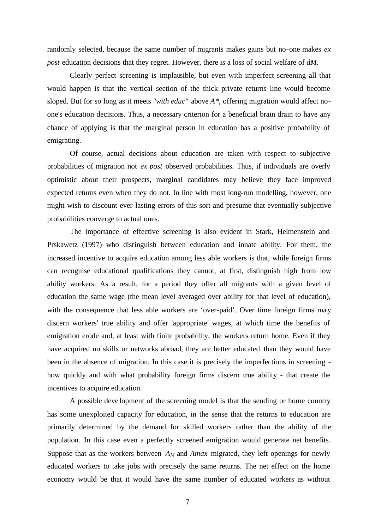randomly selected, because the same number of migrants makes gains but no-one makes *ex post* education decisions that they regret. However, there is a loss of social welfare of *dM*.

Clearly perfect screening is implausible, but even with imperfect screening all that would happen is that the vertical section of the thick private returns line would become sloped. But for so long as it meets *"with educ"* above *A\**, offering migration would affect noone's education decisions. Thus, a necessary criterion for a beneficial brain drain to have any chance of applying is that the marginal person in education has a positive probability of emigrating.

Of course, actual decisions about education are taken with respect to subjective probabilities of migration not *ex post* observed probabilities. Thus, if individuals are overly optimistic about their prospects, marginal candidates may believe they face improved expected returns even when they do not. In line with most long-run modelling, however, one might wish to discount ever-lasting errors of this sort and presume that eventually subjective probabilities converge to actual ones.

The importance of effective screening is also evident in Stark, Helmenstein and Prskawetz (1997) who distinguish between education and innate ability. For them, the increased incentive to acquire education among less able workers is that, while foreign firms can recognise educational qualifications they cannot, at first, distinguish high from low ability workers. As a result, for a period they offer all migrants with a given level of education the same wage (the mean level averaged over ability for that level of education), with the consequence that less able workers are 'over-paid'. Over time foreign firms may discern workers' true ability and offer 'appropriate' wages, at which time the benefits of emigration erode and, at least with finite probability, the workers return home. Even if they have acquired no skills or networks abroad, they are better educated than they would have been in the absence of migration. In this case it is precisely the imperfections in screening how quickly and with what probability foreign firms discern true ability - that create the incentives to acquire education.

A possible deve lopment of the screening model is that the sending or home country has some unexploited capacity for education, in the sense that the returns to education are primarily determined by the demand for skilled workers rather than the ability of the population. In this case even a perfectly screened emigration would generate net benefits. Suppose that as the workers between  $A_M$  and  $A$ *max* migrated, they left openings for newly educated workers to take jobs with precisely the same returns. The net effect on the home economy would be that it would have the same number of educated workers as without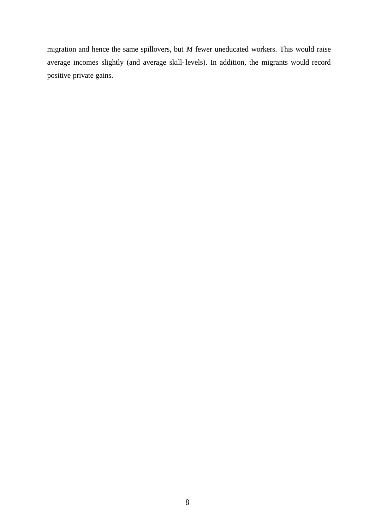migration and hence the same spillovers, but *M* fewer uneducated workers. This would raise average incomes slightly (and average skill-levels). In addition, the migrants would record positive private gains.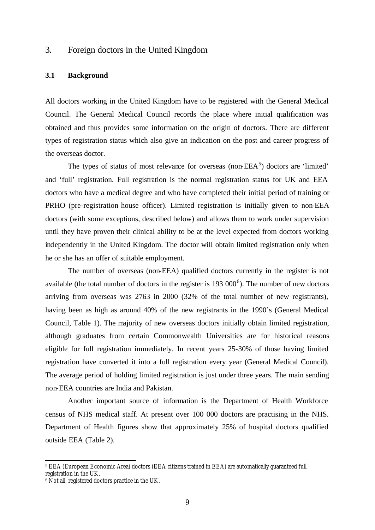## 3. Foreign doctors in the United Kingdom

## **3.1 Background**

All doctors working in the United Kingdom have to be registered with the General Medical Council. The General Medical Council records the place where initial qualification was obtained and thus provides some information on the origin of doctors. There are different types of registration status which also give an indication on the post and career progress of the overseas doctor.

The types of status of most relevance for overseas (non- $EEA<sup>5</sup>$ ) doctors are 'limited' and 'full' registration. Full registration is the normal registration status for UK and EEA doctors who have a medical degree and who have completed their initial period of training or PRHO (pre-registration house officer). Limited registration is initially given to non-EEA doctors (with some exceptions, described below) and allows them to work under supervision until they have proven their clinical ability to be at the level expected from doctors working independently in the United Kingdom. The doctor will obtain limited registration only when he or she has an offer of suitable employment.

The number of overseas (non-EEA) qualified doctors currently in the register is not available (the total number of doctors in the register is  $193,000^6$ ). The number of new doctors arriving from overseas was 2763 in 2000 (32% of the total number of new registrants), having been as high as around 40% of the new registrants in the 1990's (General Medical Council, Table 1). The majority of new overseas doctors initially obtain limited registration, although graduates from certain Commonwealth Universities are for historical reasons eligible for full registration immediately. In recent years 25-30% of those having limited registration have converted it into a full registration every year (General Medical Council). The average period of holding limited registration is just under three years. The main sending non-EEA countries are India and Pakistan.

Another important source of information is the Department of Health Workforce census of NHS medical staff. At present over 100 000 doctors are practising in the NHS. Department of Health figures show that approximately 25% of hospital doctors qualified outside EEA (Table 2).

<sup>5</sup> EEA (European Economic Area) doctors (EEA citizens trained in EEA) are automatically guaranteed full registration in the UK.

<sup>&</sup>lt;sup>6</sup> Not all registered doctors practice in the UK.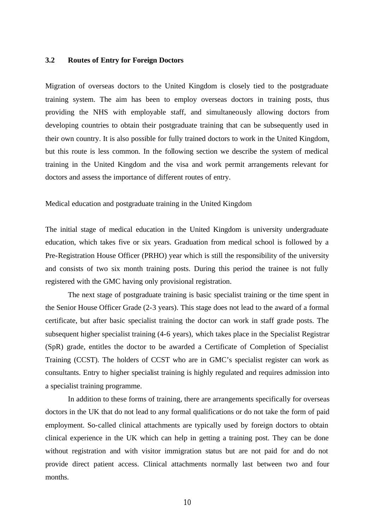## **3.2 Routes of Entry for Foreign Doctors**

Migration of overseas doctors to the United Kingdom is closely tied to the postgraduate training system. The aim has been to employ overseas doctors in training posts, thus providing the NHS with employable staff, and simultaneously allowing doctors from developing countries to obtain their postgraduate training that can be subsequently used in their own country. It is also possible for fully trained doctors to work in the United Kingdom, but this route is less common. In the following section we describe the system of medical training in the United Kingdom and the visa and work permit arrangements relevant for doctors and assess the importance of different routes of entry.

Medical education and postgraduate training in the United Kingdom

The initial stage of medical education in the United Kingdom is university undergraduate education, which takes five or six years. Graduation from medical school is followed by a Pre-Registration House Officer (PRHO) year which is still the responsibility of the university and consists of two six month training posts. During this period the trainee is not fully registered with the GMC having only provisional registration.

The next stage of postgraduate training is basic specialist training or the time spent in the Senior House Officer Grade (2-3 years). This stage does not lead to the award of a formal certificate, but after basic specialist training the doctor can work in staff grade posts. The subsequent higher specialist training (4-6 years), which takes place in the Specialist Registrar (SpR) grade, entitles the doctor to be awarded a Certificate of Completion of Specialist Training (CCST). The holders of CCST who are in GMC's specialist register can work as consultants. Entry to higher specialist training is highly regulated and requires admission into a specialist training programme.

In addition to these forms of training, there are arrangements specifically for overseas doctors in the UK that do not lead to any formal qualifications or do not take the form of paid employment. So-called clinical attachments are typically used by foreign doctors to obtain clinical experience in the UK which can help in getting a training post. They can be done without registration and with visitor immigration status but are not paid for and do not provide direct patient access. Clinical attachments normally last between two and four months.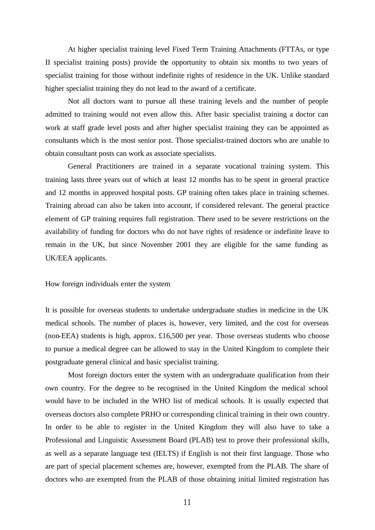At higher specialist training level Fixed Term Training Attachments (FTTAs, or type II specialist training posts) provide the opportunity to obtain six months to two years of specialist training for those without indefinite rights of residence in the UK. Unlike standard higher specialist training they do not lead to the award of a certificate.

Not all doctors want to pursue all these training levels and the number of people admitted to training would not even allow this. After basic specialist training a doctor can work at staff grade level posts and after higher specialist training they can be appointed as consultants which is the most senior post. Those specialist-trained doctors who are unable to obtain consultant posts can work as associate specialists.

General Practitioners are trained in a separate vocational training system. This training lasts three years out of which at least 12 months has to be spent in general practice and 12 months in approved hospital posts. GP training often takes place in training schemes. Training abroad can also be taken into account, if considered relevant. The general practice element of GP training requires full registration. There used to be severe restrictions on the availability of funding for doctors who do not have rights of residence or indefinite leave to remain in the UK, but since November 2001 they are eligible for the same funding as UK/EEA applicants.

How foreign individuals enter the system

It is possible for overseas students to undertake undergraduate studies in medicine in the UK medical schools. The number of places is, however, very limited, and the cost for overseas (non-EEA) students is high, approx. £16,500 per year. Those overseas students who choose to pursue a medical degree can be allowed to stay in the United Kingdom to complete their postgraduate general clinical and basic specialist training.

Most foreign doctors enter the system with an undergraduate qualification from their own country. For the degree to be recognised in the United Kingdom the medical school would have to be included in the WHO list of medical schools. It is usually expected that overseas doctors also complete PRHO or corresponding clinical training in their own country. In order to be able to register in the United Kingdom they will also have to take a Professional and Linguistic Assessment Board (PLAB) test to prove their professional skills, as well as a separate language test (IELTS) if English is not their first language. Those who are part of special placement schemes are, however, exempted from the PLAB. The share of doctors who are exempted from the PLAB of those obtaining initial limited registration has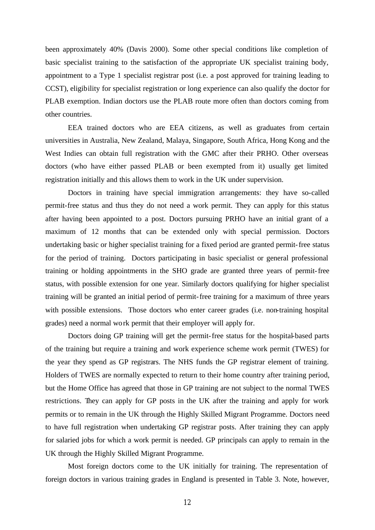been approximately 40% (Davis 2000). Some other special conditions like completion of basic specialist training to the satisfaction of the appropriate UK specialist training body, appointment to a Type 1 specialist registrar post (i.e. a post approved for training leading to CCST), eligibility for specialist registration or long experience can also qualify the doctor for PLAB exemption. Indian doctors use the PLAB route more often than doctors coming from other countries.

EEA trained doctors who are EEA citizens, as well as graduates from certain universities in Australia, New Zealand, Malaya, Singapore, South Africa, Hong Kong and the West Indies can obtain full registration with the GMC after their PRHO. Other overseas doctors (who have either passed PLAB or been exempted from it) usually get limited registration initially and this allows them to work in the UK under supervision.

Doctors in training have special immigration arrangements: they have so-called permit-free status and thus they do not need a work permit. They can apply for this status after having been appointed to a post. Doctors pursuing PRHO have an initial grant of a maximum of 12 months that can be extended only with special permission. Doctors undertaking basic or higher specialist training for a fixed period are granted permit-free status for the period of training. Doctors participating in basic specialist or general professional training or holding appointments in the SHO grade are granted three years of permit-free status, with possible extension for one year. Similarly doctors qualifying for higher specialist training will be granted an initial period of permit-free training for a maximum of three years with possible extensions. Those doctors who enter career grades (i.e. non-training hospital grades) need a normal work permit that their employer will apply for.

Doctors doing GP training will get the permit-free status for the hospital-based parts of the training but require a training and work experience scheme work permit (TWES) for the year they spend as GP registrars. The NHS funds the GP registrar element of training. Holders of TWES are normally expected to return to their home country after training period, but the Home Office has agreed that those in GP training are not subject to the normal TWES restrictions. They can apply for GP posts in the UK after the training and apply for work permits or to remain in the UK through the Highly Skilled Migrant Programme. Doctors need to have full registration when undertaking GP registrar posts. After training they can apply for salaried jobs for which a work permit is needed. GP principals can apply to remain in the UK through the Highly Skilled Migrant Programme.

Most foreign doctors come to the UK initially for training. The representation of foreign doctors in various training grades in England is presented in Table 3. Note, however,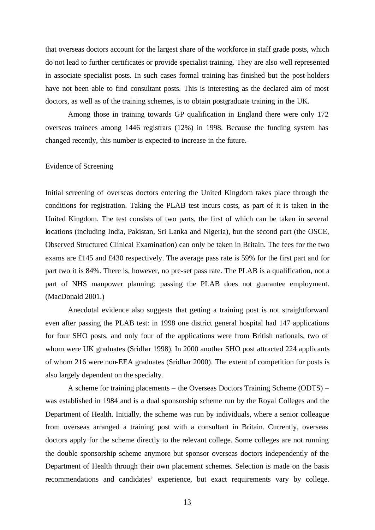that overseas doctors account for the largest share of the workforce in staff grade posts, which do not lead to further certificates or provide specialist training. They are also well represented in associate specialist posts. In such cases formal training has finished but the post-holders have not been able to find consultant posts. This is interesting as the declared aim of most doctors, as well as of the training schemes, is to obtain postgraduate training in the UK.

Among those in training towards GP qualification in England there were only 172 overseas trainees among 1446 registrars (12%) in 1998. Because the funding system has changed recently, this number is expected to increase in the future.

### Evidence of Screening

Initial screening of overseas doctors entering the United Kingdom takes place through the conditions for registration. Taking the PLAB test incurs costs, as part of it is taken in the United Kingdom. The test consists of two parts, the first of which can be taken in several locations (including India, Pakistan, Sri Lanka and Nigeria), but the second part (the OSCE, Observed Structured Clinical Examination) can only be taken in Britain. The fees for the two exams are £145 and £430 respectively. The average pass rate is 59% for the first part and for part two it is 84%. There is, however, no pre-set pass rate. The PLAB is a qualification, not a part of NHS manpower planning; passing the PLAB does not guarantee employment. (MacDonald 2001.)

Anecdotal evidence also suggests that getting a training post is not straightforward even after passing the PLAB test: in 1998 one district general hospital had 147 applications for four SHO posts, and only four of the applications were from British nationals, two of whom were UK graduates (Sridhar 1998). In 2000 another SHO post attracted 224 applicants of whom 216 were non-EEA graduates (Sridhar 2000). The extent of competition for posts is also largely dependent on the specialty.

A scheme for training placements – the Overseas Doctors Training Scheme (ODTS) – was established in 1984 and is a dual sponsorship scheme run by the Royal Colleges and the Department of Health. Initially, the scheme was run by individuals, where a senior colleague from overseas arranged a training post with a consultant in Britain. Currently, overseas doctors apply for the scheme directly to the relevant college. Some colleges are not running the double sponsorship scheme anymore but sponsor overseas doctors independently of the Department of Health through their own placement schemes. Selection is made on the basis recommendations and candidates' experience, but exact requirements vary by college.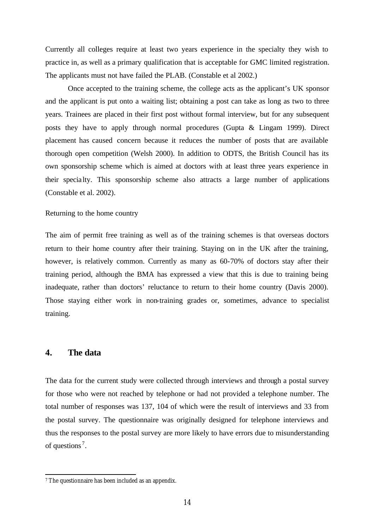Currently all colleges require at least two years experience in the specialty they wish to practice in, as well as a primary qualification that is acceptable for GMC limited registration. The applicants must not have failed the PLAB. (Constable et al 2002.)

Once accepted to the training scheme, the college acts as the applicant's UK sponsor and the applicant is put onto a waiting list; obtaining a post can take as long as two to three years. Trainees are placed in their first post without formal interview, but for any subsequent posts they have to apply through normal procedures (Gupta & Lingam 1999). Direct placement has caused concern because it reduces the number of posts that are available thorough open competition (Welsh 2000). In addition to ODTS, the British Council has its own sponsorship scheme which is aimed at doctors with at least three years experience in their specia lty. This sponsorship scheme also attracts a large number of applications (Constable et al. 2002).

## Returning to the home country

The aim of permit free training as well as of the training schemes is that overseas doctors return to their home country after their training. Staying on in the UK after the training, however, is relatively common. Currently as many as 60-70% of doctors stay after their training period, although the BMA has expressed a view that this is due to training being inadequate, rather than doctors' reluctance to return to their home country (Davis 2000). Those staying either work in non-training grades or, sometimes, advance to specialist training.

## **4. The data**

 $\overline{a}$ 

The data for the current study were collected through interviews and through a postal survey for those who were not reached by telephone or had not provided a telephone number. The total number of responses was 137, 104 of which were the result of interviews and 33 from the postal survey. The questionnaire was originally designed for telephone interviews and thus the responses to the postal survey are more likely to have errors due to misunderstanding of questions<sup>7</sup>.

<sup>7</sup> The questionnaire has been included as an appendix.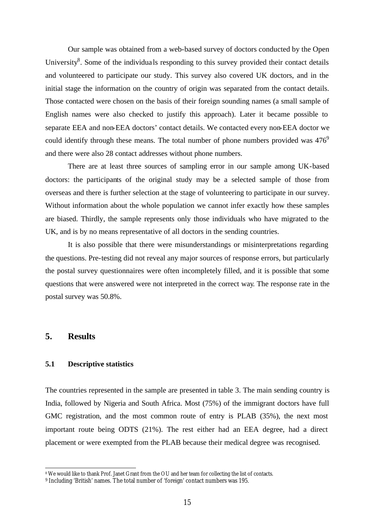Our sample was obtained from a web-based survey of doctors conducted by the Open University<sup>8</sup>. Some of the individuals responding to this survey provided their contact details and volunteered to participate our study. This survey also covered UK doctors, and in the initial stage the information on the country of origin was separated from the contact details. Those contacted were chosen on the basis of their foreign sounding names (a small sample of English names were also checked to justify this approach). Later it became possible to separate EEA and non-EEA doctors' contact details. We contacted every non-EEA doctor we could identify through these means. The total number of phone numbers provided was  $476^9$ and there were also 28 contact addresses without phone numbers.

There are at least three sources of sampling error in our sample among UK-based doctors: the participants of the original study may be a selected sample of those from overseas and there is further selection at the stage of volunteering to participate in our survey. Without information about the whole population we cannot infer exactly how these samples are biased. Thirdly, the sample represents only those individuals who have migrated to the UK, and is by no means representative of all doctors in the sending countries.

It is also possible that there were misunderstandings or misinterpretations regarding the questions. Pre-testing did not reveal any major sources of response errors, but particularly the postal survey questionnaires were often incompletely filled, and it is possible that some questions that were answered were not interpreted in the correct way. The response rate in the postal survey was 50.8%.

## **5. Results**

l

#### **5.1 Descriptive statistics**

The countries represented in the sample are presented in table 3. The main sending country is India, followed by Nigeria and South Africa. Most (75%) of the immigrant doctors have full GMC registration, and the most common route of entry is PLAB (35%), the next most important route being ODTS (21%). The rest either had an EEA degree, had a direct placement or were exempted from the PLAB because their medical degree was recognised.

<sup>8</sup> We would like to thank Prof. Janet Grant from the OU and her team for collecting the list of contacts.

<sup>9</sup> Including 'British' names. The total number of 'foreign' contact numbers was 195.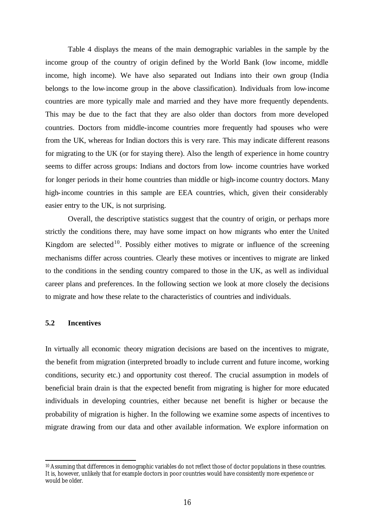Table 4 displays the means of the main demographic variables in the sample by the income group of the country of origin defined by the World Bank (low income, middle income, high income). We have also separated out Indians into their own group (India belongs to the low-income group in the above classification). Individuals from low-income countries are more typically male and married and they have more frequently dependents. This may be due to the fact that they are also older than doctors from more developed countries. Doctors from middle-income countries more frequently had spouses who were from the UK, whereas for Indian doctors this is very rare. This may indicate different reasons for migrating to the UK (or for staying there). Also the length of experience in home country seems to differ across groups: Indians and doctors from low- income countries have worked for longer periods in their home countries than middle or high-income country doctors. Many high-income countries in this sample are EEA countries, which, given their considerably easier entry to the UK, is not surprising.

Overall, the descriptive statistics suggest that the country of origin, or perhaps more strictly the conditions there, may have some impact on how migrants who enter the United Kingdom are selected<sup>10</sup>. Possibly either motives to migrate or influence of the screening mechanisms differ across countries. Clearly these motives or incentives to migrate are linked to the conditions in the sending country compared to those in the UK, as well as individual career plans and preferences. In the following section we look at more closely the decisions to migrate and how these relate to the characteristics of countries and individuals.

## **5.2 Incentives**

l

In virtually all economic theory migration decisions are based on the incentives to migrate, the benefit from migration (interpreted broadly to include current and future income, working conditions, security etc.) and opportunity cost thereof. The crucial assumption in models of beneficial brain drain is that the expected benefit from migrating is higher for more educated individuals in developing countries, either because net benefit is higher or because the probability of migration is higher. In the following we examine some aspects of incentives to migrate drawing from our data and other available information. We explore information on

<sup>10</sup> Assuming that differences in demographic variables do not reflect those of doctor populations in these countries. It is, however, unlikely that for example doctors in poor countries would have consistently more experience or would be older.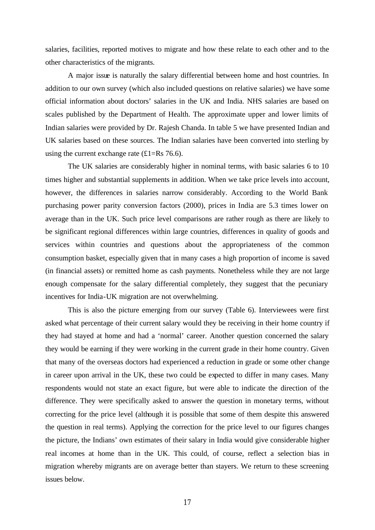salaries, facilities, reported motives to migrate and how these relate to each other and to the other characteristics of the migrants.

A major issue is naturally the salary differential between home and host countries. In addition to our own survey (which also included questions on relative salaries) we have some official information about doctors' salaries in the UK and India. NHS salaries are based on scales published by the Department of Health. The approximate upper and lower limits of Indian salaries were provided by Dr. Rajesh Chanda. In table 5 we have presented Indian and UK salaries based on these sources. The Indian salaries have been converted into sterling by using the current exchange rate  $(\text{\textsterling}1=\text{Rs }76.6)$ .

The UK salaries are considerably higher in nominal terms, with basic salaries 6 to 10 times higher and substantial supplements in addition. When we take price levels into account, however, the differences in salaries narrow considerably. According to the World Bank purchasing power parity conversion factors (2000), prices in India are 5.3 times lower on average than in the UK. Such price level comparisons are rather rough as there are likely to be significant regional differences within large countries, differences in quality of goods and services within countries and questions about the appropriateness of the common consumption basket, especially given that in many cases a high proportion of income is saved (in financial assets) or remitted home as cash payments. Nonetheless while they are not large enough compensate for the salary differential completely, they suggest that the pecuniary incentives for India-UK migration are not overwhelming.

This is also the picture emerging from our survey (Table 6). Interviewees were first asked what percentage of their current salary would they be receiving in their home country if they had stayed at home and had a 'normal' career. Another question concerned the salary they would be earning if they were working in the current grade in their home country. Given that many of the overseas doctors had experienced a reduction in grade or some other change in career upon arrival in the UK, these two could be expected to differ in many cases. Many respondents would not state an exact figure, but were able to indicate the direction of the difference. They were specifically asked to answer the question in monetary terms, without correcting for the price level (although it is possible that some of them despite this answered the question in real terms). Applying the correction for the price level to our figures changes the picture, the Indians' own estimates of their salary in India would give considerable higher real incomes at home than in the UK. This could, of course, reflect a selection bias in migration whereby migrants are on average better than stayers. We return to these screening issues below.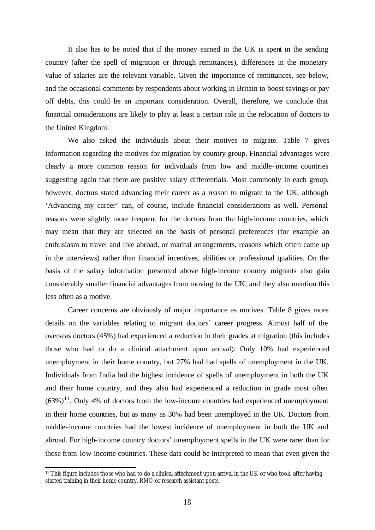It also has to be noted that if the money earned in the UK is spent in the sending country (after the spell of migration or through remittances), differences in the monetary value of salaries are the relevant variable. Given the importance of remittances, see below, and the occasional comments by respondents about working in Britain to boost savings or pay off debts, this could be an important consideration. Overall, therefore, we conclude that financial considerations are likely to play at least a certain role in the relocation of doctors to the United Kingdom.

We also asked the individuals about their motives to migrate. Table 7 gives information regarding the motives for migration by country group. Financial advantages were clearly a more common reason for individuals from low and middle-income countries suggesting again that there are positive salary differentials. Most commonly in each group, however, doctors stated advancing their career as a reason to migrate to the UK, although 'Advancing my career' can, of course, include financial considerations as well. Personal reasons were slightly more frequent for the doctors from the high-income countries, which may mean that they are selected on the basis of personal preferences (for example an enthusiasm to travel and live abroad, or marital arrangements, reasons which often came up in the interviews) rather than financial incentives, abilities or professional qualities. On the basis of the salary information presented above high-income country migrants also gain considerably smaller financial advantages from moving to the UK, and they also mention this less often as a motive.

Career concerns are obviously of major importance as motives. Table 8 gives more details on the variables relating to migrant doctors' career progress. Almost half of the overseas doctors (45%) had experienced a reduction in their grades at migration (this includes those who had to do a clinical attachment upon arrival). Only 10% had experienced unemployment in their home country, but 27% had had spells of unemployment in the UK. Individuals from India had the highest incidence of spells of unemployment in both the UK and their home country, and they also had experienced a reduction in grade most often  $(63\%)$ <sup>11</sup>. Only 4% of doctors from the low-income countries had experienced unemployment in their home countries, but as many as 30% had been unemployed in the UK. Doctors from middle-income countries had the lowest incidence of unemployment in both the UK and abroad. For high-income country doctors' unemployment spells in the UK were rarer than for those from low-income countries. These data could be interpreted to mean that even given the

<sup>&</sup>lt;sup>11</sup> This figure includes those who had to do a clinical attachment upon arrival in the UK or who took, after having started training in their home country, RMO or research assistant posts.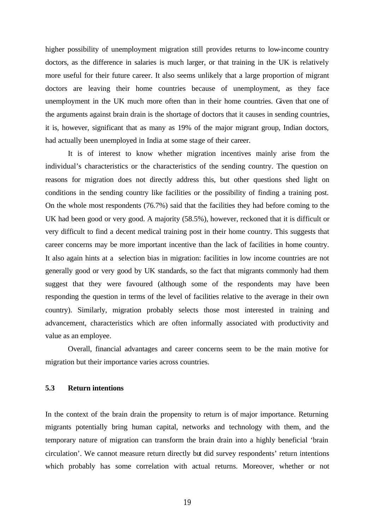higher possibility of unemployment migration still provides returns to low-income country doctors, as the difference in salaries is much larger, or that training in the UK is relatively more useful for their future career. It also seems unlikely that a large proportion of migrant doctors are leaving their home countries because of unemployment, as they face unemployment in the UK much more often than in their home countries. Given that one of the arguments against brain drain is the shortage of doctors that it causes in sending countries, it is, however, significant that as many as 19% of the major migrant group, Indian doctors, had actually been unemployed in India at some stage of their career.

It is of interest to know whether migration incentives mainly arise from the individual's characteristics or the characteristics of the sending country. The question on reasons for migration does not directly address this, but other questions shed light on conditions in the sending country like facilities or the possibility of finding a training post. On the whole most respondents (76.7%) said that the facilities they had before coming to the UK had been good or very good. A majority (58.5%), however, reckoned that it is difficult or very difficult to find a decent medical training post in their home country. This suggests that career concerns may be more important incentive than the lack of facilities in home country. It also again hints at a selection bias in migration: facilities in low income countries are not generally good or very good by UK standards, so the fact that migrants commonly had them suggest that they were favoured (although some of the respondents may have been responding the question in terms of the level of facilities relative to the average in their own country). Similarly, migration probably selects those most interested in training and advancement, characteristics which are often informally associated with productivity and value as an employee.

Overall, financial advantages and career concerns seem to be the main motive for migration but their importance varies across countries.

## **5.3 Return intentions**

In the context of the brain drain the propensity to return is of major importance. Returning migrants potentially bring human capital, networks and technology with them, and the temporary nature of migration can transform the brain drain into a highly beneficial 'brain circulation'. We cannot measure return directly but did survey respondents' return intentions which probably has some correlation with actual returns. Moreover, whether or not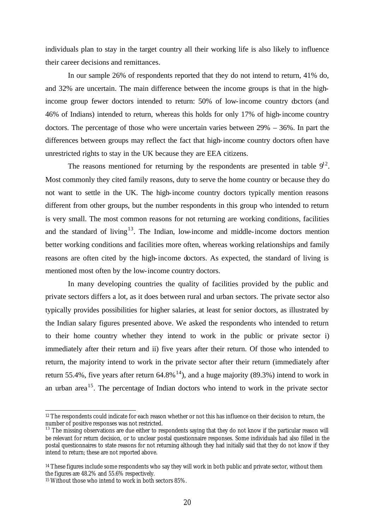individuals plan to stay in the target country all their working life is also likely to influence their career decisions and remittances.

In our sample 26% of respondents reported that they do not intend to return, 41% do, and 32% are uncertain. The main difference between the income groups is that in the highincome group fewer doctors intended to return: 50% of low-income country doctors (and 46% of Indians) intended to return, whereas this holds for only 17% of high-income country doctors. The percentage of those who were uncertain varies between 29% – 36%. In part the differences between groups may reflect the fact that high-income country doctors often have unrestricted rights to stay in the UK because they are EEA citizens.

The reasons mentioned for returning by the respondents are presented in table  $9^{12}$ . Most commonly they cited family reasons, duty to serve the home country or because they do not want to settle in the UK. The high-income country doctors typically mention reasons different from other groups, but the number respondents in this group who intended to return is very small. The most common reasons for not returning are working conditions, facilities and the standard of living<sup>13</sup>. The Indian, low-income and middle-income doctors mention better working conditions and facilities more often, whereas working relationships and family reasons are often cited by the high-income doctors. As expected, the standard of living is mentioned most often by the low-income country doctors.

In many developing countries the quality of facilities provided by the public and private sectors differs a lot, as it does between rural and urban sectors. The private sector also typically provides possibilities for higher salaries, at least for senior doctors, as illustrated by the Indian salary figures presented above. We asked the respondents who intended to return to their home country whether they intend to work in the public or private sector i) immediately after their return and ii) five years after their return. Of those who intended to return, the majority intend to work in the private sector after their return (immediately after return 55.4%, five years after return  $64.8\%$ <sup>14</sup>), and a huge majority (89.3%) intend to work in an urban area<sup>15</sup>. The percentage of Indian doctors who intend to work in the private sector

<sup>&</sup>lt;sup>12</sup> The respondents could indicate for each reason whether or not this has influence on their decision to return, the number of positive responses was not restricted.

 $13$  The missing observations are due either to respondents saying that they do not know if the particular reason will be relevant for return decision, or to unclear postal questionnaire responses. Some individuals had also filled in the postal questionnaires to state reasons for not returning although they had initially said that they do not know if they intend to return; these are not reported above.

<sup>&</sup>lt;sup>14</sup> These figures include some respondents who say they will work in both public and private sector, without them the figures are 48.2% and 55.6% respectively.

<sup>15</sup> Without those who intend to work in both sectors 85%.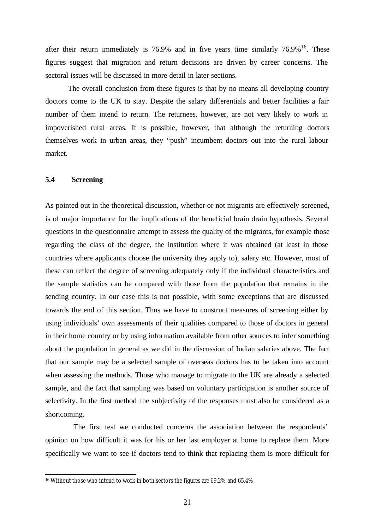after their return immediately is 76.9% and in five years time similarly  $76.9\%$ <sup>16</sup>. These figures suggest that migration and return decisions are driven by career concerns. The sectoral issues will be discussed in more detail in later sections.

The overall conclusion from these figures is that by no means all developing country doctors come to the UK to stay. Despite the salary differentials and better facilities a fair number of them intend to return. The returnees, however, are not very likely to work in impoverished rural areas. It is possible, however, that although the returning doctors themselves work in urban areas, they "push" incumbent doctors out into the rural labour market.

## **5.4 Screening**

 $\overline{a}$ 

As pointed out in the theoretical discussion, whether or not migrants are effectively screened, is of major importance for the implications of the beneficial brain drain hypothesis. Several questions in the questionnaire attempt to assess the quality of the migrants, for example those regarding the class of the degree, the institution where it was obtained (at least in those countries where applicants choose the university they apply to), salary etc. However, most of these can reflect the degree of screening adequately only if the individual characteristics and the sample statistics can be compared with those from the population that remains in the sending country. In our case this is not possible, with some exceptions that are discussed towards the end of this section. Thus we have to construct measures of screening either by using individuals' own assessments of their qualities compared to those of doctors in general in their home country or by using information available from other sources to infer something about the population in general as we did in the discussion of Indian salaries above. The fact that our sample may be a selected sample of overseas doctors has to be taken into account when assessing the methods. Those who manage to migrate to the UK are already a selected sample, and the fact that sampling was based on voluntary participation is another source of selectivity. In the first method the subjectivity of the responses must also be considered as a shortcoming.

The first test we conducted concerns the association between the respondents' opinion on how difficult it was for his or her last employer at home to replace them. More specifically we want to see if doctors tend to think that replacing them is more difficult for

<sup>16</sup> Without those who intend to work in both sectors the figures are 69.2% and 65.4%.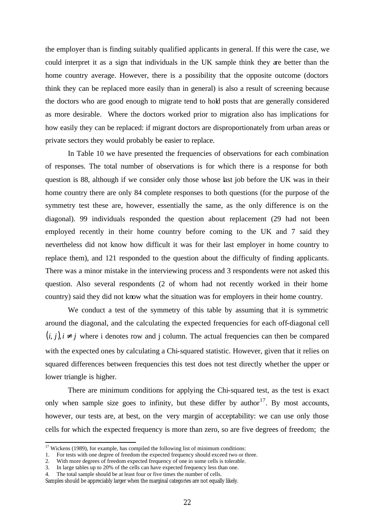the employer than is finding suitably qualified applicants in general. If this were the case, we could interpret it as a sign that individuals in the UK sample think they are better than the home country average. However, there is a possibility that the opposite outcome (doctors think they can be replaced more easily than in general) is also a result of screening because the doctors who are good enough to migrate tend to hold posts that are generally considered as more desirable. Where the doctors worked prior to migration also has implications for how easily they can be replaced: if migrant doctors are disproportionately from urban areas or private sectors they would probably be easier to replace.

In Table 10 we have presented the frequencies of observations for each combination of responses. The total number of observations is for which there is a response for both question is 88, although if we consider only those whose last job before the UK was in their home country there are only 84 complete responses to both questions (for the purpose of the symmetry test these are, however, essentially the same, as the only difference is on the diagonal). 99 individuals responded the question about replacement (29 had not been employed recently in their home country before coming to the UK and 7 said they nevertheless did not know how difficult it was for their last employer in home country to replace them), and 121 responded to the question about the difficulty of finding applicants. There was a minor mistake in the interviewing process and 3 respondents were not asked this question. Also several respondents (2 of whom had not recently worked in their home country) said they did not know what the situation was for employers in their home country.

We conduct a test of the symmetry of this table by assuming that it is symmetric around the diagonal, and the calculating the expected frequencies for each off-diagonal cell  $(i, j)$ ,  $i \neq j$  where i denotes row and j column. The actual frequencies can then be compared with the expected ones by calculating a Chi-squared statistic. However, given that it relies on squared differences between frequencies this test does not test directly whether the upper or lower triangle is higher.

There are minimum conditions for applying the Chi-squared test, as the test is exact only when sample size goes to infinity, but these differ by author<sup>17</sup>. By most accounts, however, our tests are, at best, on the very margin of acceptability: we can use only those cells for which the expected frequency is more than zero, so are five degrees of freedom; the

3. In large tables up to 20% of the cells can have expected frequency less than one.

 $17$  Wickens (1989), for example, has compiled the following list of minimum conditions:

<sup>1.</sup> For tests with one degree of freedom the expected frequency should exceed two or three.

<sup>2.</sup> With more degrees of freedom expected frequency of one in some cells is tolerable.

<sup>4.</sup> The total sample should be at least four or five times the number of cells.

Samples should be appreciably larger when the marginal categories are not equally likely.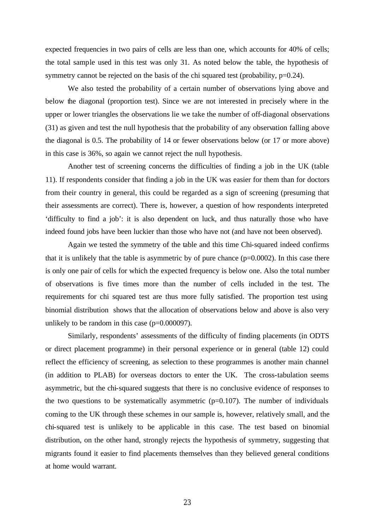expected frequencies in two pairs of cells are less than one, which accounts for 40% of cells; the total sample used in this test was only 31. As noted below the table, the hypothesis of symmetry cannot be rejected on the basis of the chi squared test (probability,  $p=0.24$ ).

We also tested the probability of a certain number of observations lying above and below the diagonal (proportion test). Since we are not interested in precisely where in the upper or lower triangles the observations lie we take the number of off-diagonal observations (31) as given and test the null hypothesis that the probability of any observation falling above the diagonal is 0.5. The probability of 14 or fewer observations below (or 17 or more above) in this case is 36%, so again we cannot reject the null hypothesis.

Another test of screening concerns the difficulties of finding a job in the UK (table 11). If respondents consider that finding a job in the UK was easier for them than for doctors from their country in general, this could be regarded as a sign of screening (presuming that their assessments are correct). There is, however, a question of how respondents interpreted 'difficulty to find a job': it is also dependent on luck, and thus naturally those who have indeed found jobs have been luckier than those who have not (and have not been observed).

Again we tested the symmetry of the table and this time Chi-squared indeed confirms that it is unlikely that the table is asymmetric by of pure chance  $(p=0.0002)$ . In this case there is only one pair of cells for which the expected frequency is below one. Also the total number of observations is five times more than the number of cells included in the test. The requirements for chi squared test are thus more fully satisfied. The proportion test using binomial distribution shows that the allocation of observations below and above is also very unlikely to be random in this case  $(p=0.000097)$ .

Similarly, respondents' assessments of the difficulty of finding placements (in ODTS or direct placement programme) in their personal experience or in general (table 12) could reflect the efficiency of screening, as selection to these programmes is another main channel (in addition to PLAB) for overseas doctors to enter the UK. The cross-tabulation seems asymmetric, but the chi-squared suggests that there is no conclusive evidence of responses to the two questions to be systematically asymmetric  $(p=0.107)$ . The number of individuals coming to the UK through these schemes in our sample is, however, relatively small, and the chi-squared test is unlikely to be applicable in this case. The test based on binomial distribution, on the other hand, strongly rejects the hypothesis of symmetry, suggesting that migrants found it easier to find placements themselves than they believed general conditions at home would warrant.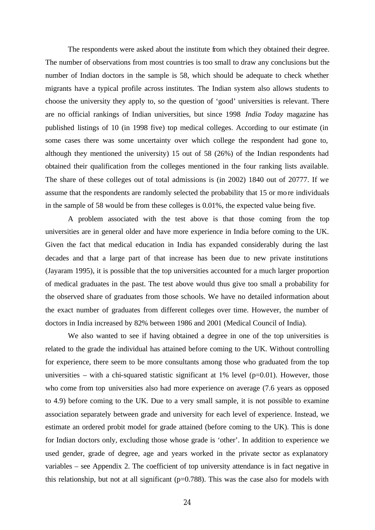The respondents were asked about the institute from which they obtained their degree. The number of observations from most countries is too small to draw any conclusions but the number of Indian doctors in the sample is 58, which should be adequate to check whether migrants have a typical profile across institutes. The Indian system also allows students to choose the university they apply to, so the question of 'good' universities is relevant. There are no official rankings of Indian universities, but since 1998 *India Today* magazine has published listings of 10 (in 1998 five) top medical colleges. According to our estimate (in some cases there was some uncertainty over which college the respondent had gone to, although they mentioned the university) 15 out of 58 (26%) of the Indian respondents had obtained their qualification from the colleges mentioned in the four ranking lists available. The share of these colleges out of total admissions is (in 2002) 1840 out of 20777. If we assume that the respondents are randomly selected the probability that 15 or more individuals in the sample of 58 would be from these colleges is 0.01%, the expected value being five.

A problem associated with the test above is that those coming from the top universities are in general older and have more experience in India before coming to the UK. Given the fact that medical education in India has expanded considerably during the last decades and that a large part of that increase has been due to new private institutions (Jayaram 1995), it is possible that the top universities accounted for a much larger proportion of medical graduates in the past. The test above would thus give too small a probability for the observed share of graduates from those schools. We have no detailed information about the exact number of graduates from different colleges over time. However, the number of doctors in India increased by 82% between 1986 and 2001 (Medical Council of India).

We also wanted to see if having obtained a degree in one of the top universities is related to the grade the individual has attained before coming to the UK. Without controlling for experience, there seem to be more consultants among those who graduated from the top universities – with a chi-squared statistic significant at  $1\%$  level (p=0.01). However, those who come from top universities also had more experience on average (7.6 years as opposed to 4.9) before coming to the UK. Due to a very small sample, it is not possible to examine association separately between grade and university for each level of experience. Instead, we estimate an ordered probit model for grade attained (before coming to the UK). This is done for Indian doctors only, excluding those whose grade is 'other'. In addition to experience we used gender, grade of degree, age and years worked in the private sector as explanatory variables – see Appendix 2. The coefficient of top university attendance is in fact negative in this relationship, but not at all significant ( $p=0.788$ ). This was the case also for models with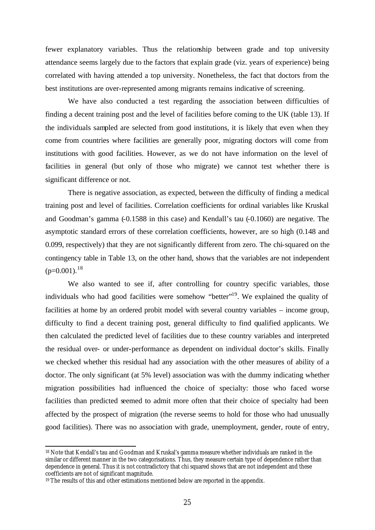fewer explanatory variables. Thus the relationship between grade and top university attendance seems largely due to the factors that explain grade (viz. years of experience) being correlated with having attended a top university. Nonetheless, the fact that doctors from the best institutions are over-represented among migrants remains indicative of screening.

We have also conducted a test regarding the association between difficulties of finding a decent training post and the level of facilities before coming to the UK (table 13). If the individuals sampled are selected from good institutions, it is likely that even when they come from countries where facilities are generally poor, migrating doctors will come from institutions with good facilities. However, as we do not have information on the level of facilities in general (but only of those who migrate) we cannot test whether there is significant difference or not.

There is negative association, as expected, between the difficulty of finding a medical training post and level of facilities. Correlation coefficients for ordinal variables like Kruskal and Goodman's gamma (-0.1588 in this case) and Kendall's tau (-0.1060) are negative. The asymptotic standard errors of these correlation coefficients, however, are so high (0.148 and 0.099, respectively) that they are not significantly different from zero. The chi-squared on the contingency table in Table 13, on the other hand, shows that the variables are not independent  $(p=0.001)$ .<sup>18</sup>

We also wanted to see if, after controlling for country specific variables, those individuals who had good facilities were somehow "better"<sup>19</sup>. We explained the quality of facilities at home by an ordered probit model with several country variables – income group, difficulty to find a decent training post, general difficulty to find qualified applicants. We then calculated the predicted level of facilities due to these country variables and interpreted the residual over- or under-performance as dependent on individual doctor's skills. Finally we checked whether this residual had any association with the other measures of ability of a doctor. The only significant (at 5% level) association was with the dummy indicating whether migration possibilities had influenced the choice of specialty: those who faced worse facilities than predicted seemed to admit more often that their choice of specialty had been affected by the prospect of migration (the reverse seems to hold for those who had unusually good facilities). There was no association with grade, unemployment, gender, route of entry,

<sup>18</sup> Note that Kendall's tau and Goodman and Kruskal's gamma measure whether individuals are ranked in the similar or different manner in the two categorisations. Thus, they measure certain type of dependence rather than dependence in general. Thus it is not contradictory that chi squared shows that are not independent and these coefficients are not of significant magnitude.

<sup>&</sup>lt;sup>19</sup> The results of this and other estimations mentioned below are reported in the appendix.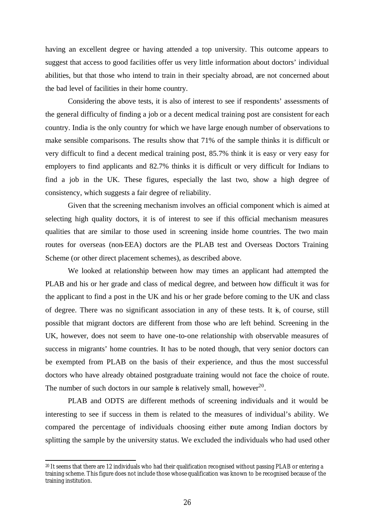having an excellent degree or having attended a top university. This outcome appears to suggest that access to good facilities offer us very little information about doctors' individual abilities, but that those who intend to train in their specialty abroad, are not concerned about the bad level of facilities in their home country.

Considering the above tests, it is also of interest to see if respondents' assessments of the general difficulty of finding a job or a decent medical training post are consistent for each country. India is the only country for which we have large enough number of observations to make sensible comparisons. The results show that 71% of the sample thinks it is difficult or very difficult to find a decent medical training post, 85.7% think it is easy or very easy for employers to find applicants and 82.7% thinks it is difficult or very difficult for Indians to find a job in the UK. These figures, especially the last two, show a high degree of consistency, which suggests a fair degree of reliability.

Given that the screening mechanism involves an official component which is aimed at selecting high quality doctors, it is of interest to see if this official mechanism measures qualities that are similar to those used in screening inside home countries. The two main routes for overseas (non-EEA) doctors are the PLAB test and Overseas Doctors Training Scheme (or other direct placement schemes), as described above.

We looked at relationship between how may times an applicant had attempted the PLAB and his or her grade and class of medical degree, and between how difficult it was for the applicant to find a post in the UK and his or her grade before coming to the UK and class of degree. There was no significant association in any of these tests. It is, of course, still possible that migrant doctors are different from those who are left behind. Screening in the UK, however, does not seem to have one-to-one relationship with observable measures of success in migrants' home countries. It has to be noted though, that very senior doctors can be exempted from PLAB on the basis of their experience, and thus the most successful doctors who have already obtained postgraduate training would not face the choice of route. The number of such doctors in our sample is relatively small, however<sup>20</sup>.

PLAB and ODTS are different methods of screening individuals and it would be interesting to see if success in them is related to the measures of individual's ability. We compared the percentage of individuals choosing either route among Indian doctors by splitting the sample by the university status. We excluded the individuals who had used other

<sup>20</sup> It seems that there are 12 individuals who had their qualification recognised without passing PLAB or entering a training scheme. This figure does not include those whose qualification was known to be recognised because of the training institution.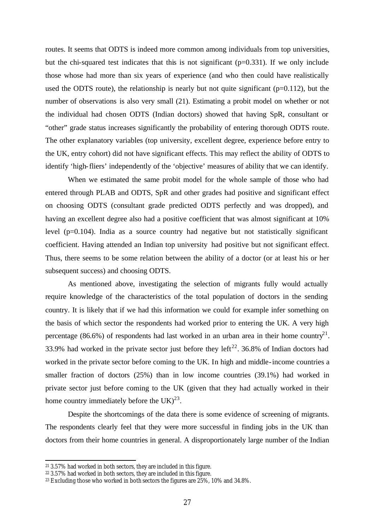routes. It seems that ODTS is indeed more common among individuals from top universities, but the chi-squared test indicates that this is not significant (p=0.331). If we only include those whose had more than six years of experience (and who then could have realistically used the ODTS route), the relationship is nearly but not quite significant ( $p=0.112$ ), but the number of observations is also very small (21). Estimating a probit model on whether or not the individual had chosen ODTS (Indian doctors) showed that having SpR, consultant or "other" grade status increases significantly the probability of entering thorough ODTS route. The other explanatory variables (top university, excellent degree, experience before entry to the UK, entry cohort) did not have significant effects. This may reflect the ability of ODTS to identify 'high-fliers' independently of the 'objective' measures of ability that we can identify.

When we estimated the same probit model for the whole sample of those who had entered through PLAB and ODTS, SpR and other grades had positive and significant effect on choosing ODTS (consultant grade predicted ODTS perfectly and was dropped), and having an excellent degree also had a positive coefficient that was almost significant at 10% level (p=0.104). India as a source country had negative but not statistically significant coefficient. Having attended an Indian top university had positive but not significant effect. Thus, there seems to be some relation between the ability of a doctor (or at least his or her subsequent success) and choosing ODTS.

As mentioned above, investigating the selection of migrants fully would actually require knowledge of the characteristics of the total population of doctors in the sending country. It is likely that if we had this information we could for example infer something on the basis of which sector the respondents had worked prior to entering the UK. A very high percentage (86.6%) of respondents had last worked in an urban area in their home country<sup>21</sup>. 33.9% had worked in the private sector just before they left<sup>22</sup>. 36.8% of Indian doctors had worked in the private sector before coming to the UK. In high and middle-income countries a smaller fraction of doctors (25%) than in low income countries (39.1%) had worked in private sector just before coming to the UK (given that they had actually worked in their home country immediately before the  $UK)^{23}$ .

Despite the shortcomings of the data there is some evidence of screening of migrants. The respondents clearly feel that they were more successful in finding jobs in the UK than doctors from their home countries in general. A disproportionately large number of the Indian

<sup>21</sup> 3.57% had worked in both sectors, they are included in this figure.

<sup>22</sup> 3.57% had worked in both sectors, they are included in this figure.

<sup>&</sup>lt;sup>23</sup> Excluding those who worked in both sectors the figures are  $25\%$ , 10% and 34.8%.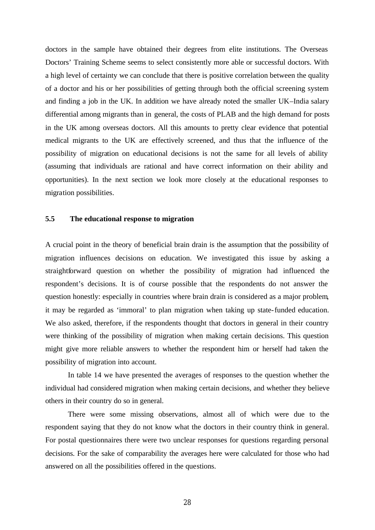doctors in the sample have obtained their degrees from elite institutions. The Overseas Doctors' Training Scheme seems to select consistently more able or successful doctors. With a high level of certainty we can conclude that there is positive correlation between the quality of a doctor and his or her possibilities of getting through both the official screening system and finding a job in the UK. In addition we have already noted the smaller UK–India salary differential among migrants than in general, the costs of PLAB and the high demand for posts in the UK among overseas doctors. All this amounts to pretty clear evidence that potential medical migrants to the UK are effectively screened, and thus that the influence of the possibility of migration on educational decisions is not the same for all levels of ability (assuming that individuals are rational and have correct information on their ability and opportunities). In the next section we look more closely at the educational responses to migration possibilities.

## **5.5 The educational response to migration**

A crucial point in the theory of beneficial brain drain is the assumption that the possibility of migration influences decisions on education. We investigated this issue by asking a straightforward question on whether the possibility of migration had influenced the respondent's decisions. It is of course possible that the respondents do not answer the question honestly: especially in countries where brain drain is considered as a major problem, it may be regarded as 'immoral' to plan migration when taking up state-funded education. We also asked, therefore, if the respondents thought that doctors in general in their country were thinking of the possibility of migration when making certain decisions. This question might give more reliable answers to whether the respondent him or herself had taken the possibility of migration into account.

In table 14 we have presented the averages of responses to the question whether the individual had considered migration when making certain decisions, and whether they believe others in their country do so in general.

There were some missing observations, almost all of which were due to the respondent saying that they do not know what the doctors in their country think in general. For postal questionnaires there were two unclear responses for questions regarding personal decisions. For the sake of comparability the averages here were calculated for those who had answered on all the possibilities offered in the questions.

28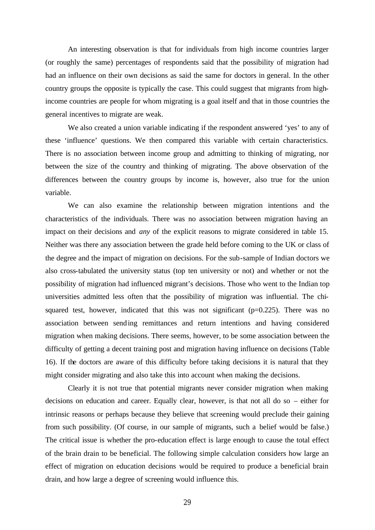An interesting observation is that for individuals from high income countries larger (or roughly the same) percentages of respondents said that the possibility of migration had had an influence on their own decisions as said the same for doctors in general. In the other country groups the opposite is typically the case. This could suggest that migrants from highincome countries are people for whom migrating is a goal itself and that in those countries the general incentives to migrate are weak.

We also created a union variable indicating if the respondent answered 'yes' to any of these 'influence' questions. We then compared this variable with certain characteristics. There is no association between income group and admitting to thinking of migrating, nor between the size of the country and thinking of migrating. The above observation of the differences between the country groups by income is, however, also true for the union variable.

We can also examine the relationship between migration intentions and the characteristics of the individuals. There was no association between migration having an impact on their decisions and *any* of the explicit reasons to migrate considered in table 15. Neither was there any association between the grade held before coming to the UK or class of the degree and the impact of migration on decisions. For the sub-sample of Indian doctors we also cross-tabulated the university status (top ten university or not) and whether or not the possibility of migration had influenced migrant's decisions. Those who went to the Indian top universities admitted less often that the possibility of migration was influential. The chisquared test, however, indicated that this was not significant ( $p=0.225$ ). There was no association between sending remittances and return intentions and having considered migration when making decisions. There seems, however, to be some association between the difficulty of getting a decent training post and migration having influence on decisions (Table 16). If the doctors are aware of this difficulty before taking decisions it is natural that they might consider migrating and also take this into account when making the decisions.

Clearly it is not true that potential migrants never consider migration when making decisions on education and career. Equally clear, however, is that not all do so – either for intrinsic reasons or perhaps because they believe that screening would preclude their gaining from such possibility. (Of course, in our sample of migrants, such a belief would be false.) The critical issue is whether the pro-education effect is large enough to cause the total effect of the brain drain to be beneficial. The following simple calculation considers how large an effect of migration on education decisions would be required to produce a beneficial brain drain, and how large a degree of screening would influence this.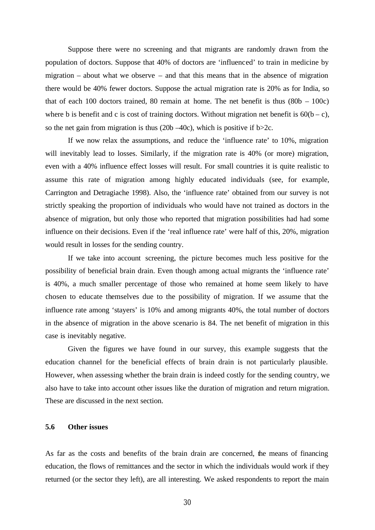Suppose there were no screening and that migrants are randomly drawn from the population of doctors. Suppose that 40% of doctors are 'influenced' to train in medicine by migration – about what we observe – and that this means that in the absence of migration there would be 40% fewer doctors. Suppose the actual migration rate is 20% as for India, so that of each 100 doctors trained, 80 remain at home. The net benefit is thus  $(80b - 100c)$ where b is benefit and c is cost of training doctors. Without migration net benefit is  $60(b - c)$ , so the net gain from migration is thus  $(20b - 40c)$ , which is positive if  $b > 2c$ .

If we now relax the assumptions, and reduce the 'influence rate' to 10%, migration will inevitably lead to losses. Similarly, if the migration rate is 40% (or more) migration, even with a 40% influence effect losses will result. For small countries it is quite realistic to assume this rate of migration among highly educated individuals (see, for example, Carrington and Detragiache 1998). Also, the 'influence rate' obtained from our survey is not strictly speaking the proportion of individuals who would have not trained as doctors in the absence of migration, but only those who reported that migration possibilities had had some influence on their decisions. Even if the 'real influence rate' were half of this, 20%, migration would result in losses for the sending country.

If we take into account screening, the picture becomes much less positive for the possibility of beneficial brain drain. Even though among actual migrants the 'influence rate' is 40%, a much smaller percentage of those who remained at home seem likely to have chosen to educate themselves due to the possibility of migration. If we assume that the influence rate among 'stayers' is 10% and among migrants 40%, the total number of doctors in the absence of migration in the above scenario is 84. The net benefit of migration in this case is inevitably negative.

Given the figures we have found in our survey, this example suggests that the education channel for the beneficial effects of brain drain is not particularly plausible. However, when assessing whether the brain drain is indeed costly for the sending country, we also have to take into account other issues like the duration of migration and return migration. These are discussed in the next section.

## **5.6 Other issues**

As far as the costs and benefits of the brain drain are concerned, the means of financing education, the flows of remittances and the sector in which the individuals would work if they returned (or the sector they left), are all interesting. We asked respondents to report the main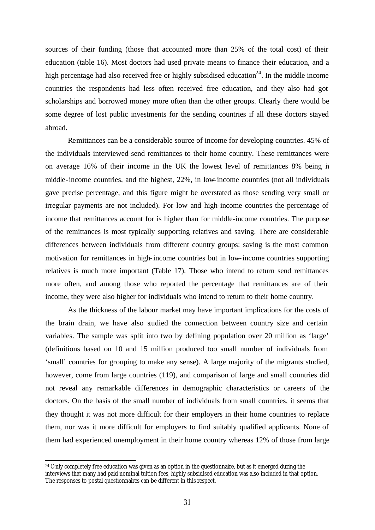sources of their funding (those that accounted more than 25% of the total cost) of their education (table 16). Most doctors had used private means to finance their education, and a high percentage had also received free or highly subsidised education<sup>24</sup>. In the middle income countries the respondents had less often received free education, and they also had got scholarships and borrowed money more often than the other groups. Clearly there would be some degree of lost public investments for the sending countries if all these doctors stayed abroad.

Remittances can be a considerable source of income for developing countries. 45% of the individuals interviewed send remittances to their home country. These remittances were on average 16% of their income in the UK the lowest level of remittances 8% being in middle-income countries, and the highest, 22%, in low-income countries (not all individuals gave precise percentage, and this figure might be overstated as those sending very small or irregular payments are not included). For low and high-income countries the percentage of income that remittances account for is higher than for middle-income countries. The purpose of the remittances is most typically supporting relatives and saving. There are considerable differences between individuals from different country groups: saving is the most common motivation for remittances in high-income countries but in low-income countries supporting relatives is much more important (Table 17). Those who intend to return send remittances more often, and among those who reported the percentage that remittances are of their income, they were also higher for individuals who intend to return to their home country.

As the thickness of the labour market may have important implications for the costs of the brain drain, we have also studied the connection between country size and certain variables. The sample was split into two by defining population over 20 million as 'large' (definitions based on 10 and 15 million produced too small number of individuals from 'small' countries for grouping to make any sense). A large majority of the migrants studied, however, come from large countries (119), and comparison of large and small countries did not reveal any remarkable differences in demographic characteristics or careers of the doctors. On the basis of the small number of individuals from small countries, it seems that they thought it was not more difficult for their employers in their home countries to replace them, nor was it more difficult for employers to find suitably qualified applicants. None of them had experienced unemployment in their home country whereas 12% of those from large

<sup>&</sup>lt;sup>24</sup> Only completely free education was given as an option in the questionnaire, but as it emerged during the interviews that many had paid nominal tuition fees, highly subsidised education was also included in that option. The responses to postal questionnaires can be different in this respect.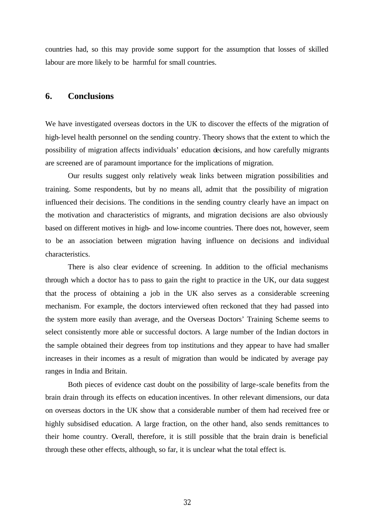countries had, so this may provide some support for the assumption that losses of skilled labour are more likely to be harmful for small countries.

## **6. Conclusions**

We have investigated overseas doctors in the UK to discover the effects of the migration of high-level health personnel on the sending country. Theory shows that the extent to which the possibility of migration affects individuals' education decisions, and how carefully migrants are screened are of paramount importance for the implications of migration.

Our results suggest only relatively weak links between migration possibilities and training. Some respondents, but by no means all, admit that the possibility of migration influenced their decisions. The conditions in the sending country clearly have an impact on the motivation and characteristics of migrants, and migration decisions are also obviously based on different motives in high- and low-income countries. There does not, however, seem to be an association between migration having influence on decisions and individual characteristics.

There is also clear evidence of screening. In addition to the official mechanisms through which a doctor ha s to pass to gain the right to practice in the UK, our data suggest that the process of obtaining a job in the UK also serves as a considerable screening mechanism. For example, the doctors interviewed often reckoned that they had passed into the system more easily than average, and the Overseas Doctors' Training Scheme seems to select consistently more able or successful doctors. A large number of the Indian doctors in the sample obtained their degrees from top institutions and they appear to have had smaller increases in their incomes as a result of migration than would be indicated by average pay ranges in India and Britain.

Both pieces of evidence cast doubt on the possibility of large-scale benefits from the brain drain through its effects on education incentives. In other relevant dimensions, our data on overseas doctors in the UK show that a considerable number of them had received free or highly subsidised education. A large fraction, on the other hand, also sends remittances to their home country. Overall, therefore, it is still possible that the brain drain is beneficial through these other effects, although, so far, it is unclear what the total effect is.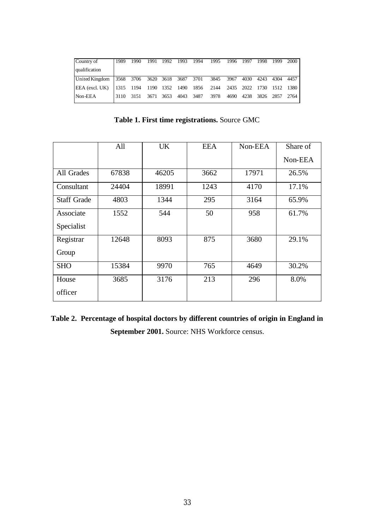| Country of                                   | 1989 | 1990 |      | 1991 1992 | 1993      | - 1994 | 1995                                         | 1996 1997 |      | 1998      | 1999 | 2000   |
|----------------------------------------------|------|------|------|-----------|-----------|--------|----------------------------------------------|-----------|------|-----------|------|--------|
| qualification                                |      |      |      |           |           |        |                                              |           |      |           |      |        |
| United Kingdom 3568 3706 3620 3618 3687 3701 |      |      |      |           |           |        | 3845 3967                                    |           | 4030 | 4243      | 4304 | 4457   |
| EEA (excl. UK)                               |      |      |      |           |           |        | 1315 1194 1190 1352 1490 1856 2144 2435 2022 |           |      | 1730      | 1512 | - 1380 |
| Non-EEA                                      | 3110 | 3151 | 3671 | 3653      | 4043 3487 |        | 3978                                         | 4690      | 4238 | 3826 2857 |      | 2764   |

**Table 1. First time registrations.** Source GMC

|                    | All   | <b>UK</b> | <b>EEA</b> | Non-EEA | Share of |
|--------------------|-------|-----------|------------|---------|----------|
|                    |       |           |            |         | Non-EEA  |
| All Grades         | 67838 | 46205     | 3662       | 17971   | 26.5%    |
| Consultant         | 24404 | 18991     | 1243       | 4170    | 17.1%    |
| <b>Staff Grade</b> | 4803  | 1344      | 295        | 3164    | 65.9%    |
| Associate          | 1552  | 544       | 50         | 958     | 61.7%    |
| Specialist         |       |           |            |         |          |
| Registrar          | 12648 | 8093      | 875        | 3680    | 29.1%    |
| Group              |       |           |            |         |          |
| <b>SHO</b>         | 15384 | 9970      | 765        | 4649    | 30.2%    |
| House              | 3685  | 3176      | 213        | 296     | 8.0%     |
| officer            |       |           |            |         |          |

**Table 2. Percentage of hospital doctors by different countries of origin in England in**  September 2001. Source: NHS Workforce census.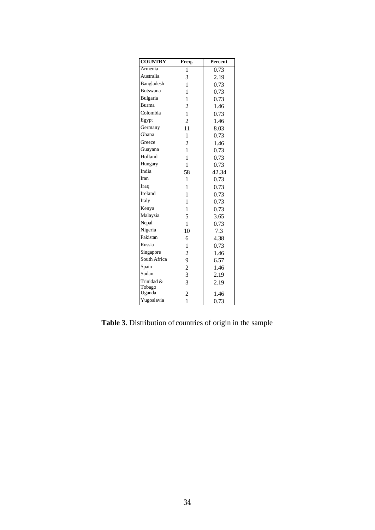| <b>COUNTRY</b> | Freq.                   | <b>Percent</b> |
|----------------|-------------------------|----------------|
| Armenia        | 1                       | 0.73           |
| Australia      | 3                       | 2.19           |
| Bangladesh     | 1                       | 0.73           |
| Botswana       | 1                       | 0.73           |
| Bulgaria       | 1                       | 0.73           |
| Burma          | $\overline{\mathbf{c}}$ | 1.46           |
| Colombia       | $\mathbf{1}$            | 0.73           |
| Egypt          | $\overline{2}$          | 1.46           |
| Germany        | 11                      | 8.03           |
| Ghana          | 1                       | 0.73           |
| Greece         | $\overline{c}$          | 1.46           |
| Guayana        | 1                       | 0.73           |
| Holland        | 1                       | 0.73           |
| Hungary        | 1                       | 0.73           |
| India          | 58                      | 42.34          |
| Iran           | 1                       | 0.73           |
| Iraq           | 1                       | 0.73           |
| Ireland        | 1                       | 0.73           |
| Italy          | 1                       | 0.73           |
| Kenya          | 1                       | 0.73           |
| Malaysia       | 5                       | 3.65           |
| Nepal          | $\mathbf{1}$            | 0.73           |
| Nigeria        | 10                      | 7.3            |
| Pakistan       | 6                       | 4.38           |
| Russia         | 1                       | 0.73           |
| Singapore      | $\overline{c}$          | 1.46           |
| South Africa   | 9                       | 6.57           |
| Spain          | $\overline{c}$          | 1.46           |
| Sudan          | 3                       | 2.19           |
| Trinidad &     | $\overline{3}$          | 2.19           |
| Tobago         |                         |                |
| Uganda         | $\overline{c}$          | 1.46           |
| Yugoslavia     | 1                       | 0.73           |

**Table 3**. Distribution of countries of origin in the sample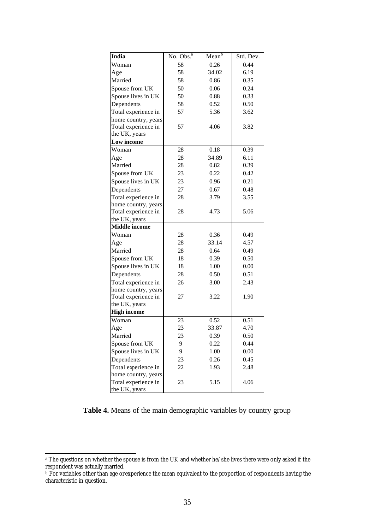| India                | No. Obs. <sup>a</sup> | $\overline{\text{Mean}}^{\text{b}}$ | Std. Dev. |
|----------------------|-----------------------|-------------------------------------|-----------|
| Woman                | 58                    | 0.26                                | 0.44      |
| Age                  | 58                    | 34.02                               | 6.19      |
| Married              | 58                    | 0.86                                | 0.35      |
| Spouse from UK       | 50                    | 0.06                                | 0.24      |
| Spouse lives in UK   | 50                    | 0.88                                | 0.33      |
| Dependents           | 58                    | 0.52                                | 0.50      |
| Total experience in  | 57                    | 5.36                                | 3.62      |
| home country, years  |                       |                                     |           |
| Total experience in  | 57                    | 4.06                                | 3.82      |
| the UK, years        |                       |                                     |           |
| Low income           |                       |                                     |           |
| Woman                | 28                    | 0.18                                | 0.39      |
| Age                  | 28                    | 34.89                               | 6.11      |
| Married              | 28                    | 0.82                                | 0.39      |
| Spouse from UK       | 23                    | 0.22                                | 0.42      |
| Spouse lives in UK   | 23                    | 0.96                                | 0.21      |
| Dependents           | 27                    | 0.67                                | 0.48      |
| Total experience in  | 28                    | 3.79                                | 3.55      |
| home country, years  |                       |                                     |           |
| Total experience in  | 28                    | 4.73                                | 5.06      |
| the UK, years        |                       |                                     |           |
| <b>Middle</b> income |                       |                                     |           |
| Woman                | 28                    | 0.36                                | 0.49      |
| Age                  | 28                    | 33.14                               | 4.57      |
| Married              | 28                    | 0.64                                | 0.49      |
| Spouse from UK       | 18                    | 0.39                                | 0.50      |
| Spouse lives in UK   | 18                    | 1.00                                | 0.00      |
| Dependents           | 28                    | 0.50                                | 0.51      |
| Total experience in  | 26                    | 3.00                                | 2.43      |
| home country, years  |                       |                                     |           |
| Total experience in  | 27                    | 3.22                                | 1.90      |
| the UK, years        |                       |                                     |           |
| <b>High income</b>   |                       |                                     |           |
| Woman                | 23                    | 0.52                                | 0.51      |
| Age                  | 23                    | 33.87                               | 4.70      |
| Married              | 23                    | 0.39                                | 0.50      |
| Spouse from UK       | 9                     | 0.22                                | 0.44      |
| Spouse lives in UK   | 9                     | 1.00                                | 0.00      |
| Dependents           | 23                    | 0.26                                | 0.45      |
| Total experience in  | 22                    | 1.93                                | 2.48      |
| home country, years  |                       |                                     |           |
| Total experience in  | 23                    | 5.15                                | 4.06      |
| the UK, years        |                       |                                     |           |

**Table 4.** Means of the main demographic variables by country group

a The questions on whether the spouse is from the UK and whether he/she lives there were only asked if the respondent was actually married.

 $^{\rm b}$  For variables other than age or experience the mean equivalent to the proportion of respondents having the characteristic in question.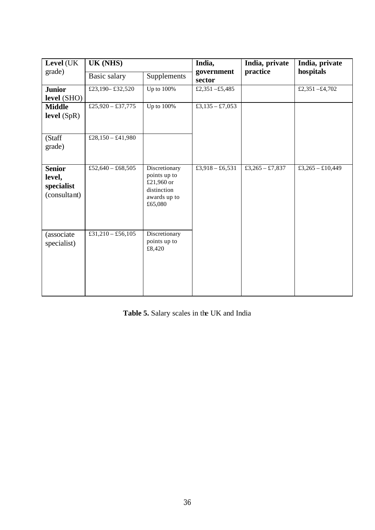| Level (UK                                             | <b>UK (NHS)</b>   |                                                                                       | India,<br>government | India, private<br>practice | India, private<br>hospitals |
|-------------------------------------------------------|-------------------|---------------------------------------------------------------------------------------|----------------------|----------------------------|-----------------------------|
| grade)                                                | Basic salary      | Supplements                                                                           | sector               |                            |                             |
| <b>Junior</b><br>level (SHO)                          | £23,190 - £32,520 | Up to 100%                                                                            | £2,351 -£5,485       |                            | £2,351 $-£4,702$            |
| <b>Middle</b><br>level (SpR)                          | £25,920 - £37,775 | Up to 100%                                                                            | £3,135 - £7,053      |                            |                             |
| (Staff<br>grade)                                      | £28,150 - £41,980 |                                                                                       |                      |                            |                             |
| <b>Senior</b><br>level,<br>specialist<br>(consultant) | £52,640 - £68,505 | Discretionary<br>points up to<br>£21,960 or<br>distinction<br>awards up to<br>£65,080 | £3,918 - £6,531      | £3,265 - £7,837            | £3,265 - £10,449            |
| (associate<br>specialist)                             | £31,210 - £56,105 | Discretionary<br>points up to<br>£8,420                                               |                      |                            |                             |

| Table 5. Salary scales in the UK and India |  |  |  |
|--------------------------------------------|--|--|--|
|--------------------------------------------|--|--|--|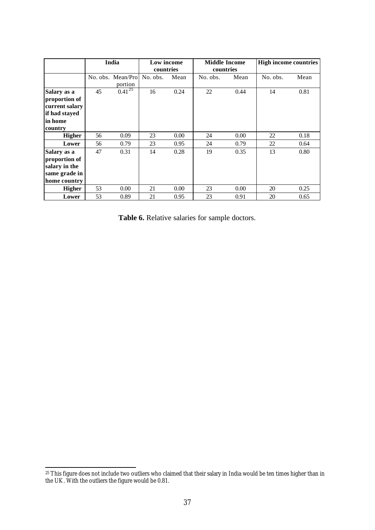|                                                                                        |    | India                                  | Low income<br>countries |      | <b>Middle Income</b><br>countries |      | <b>High income countries</b> |      |
|----------------------------------------------------------------------------------------|----|----------------------------------------|-------------------------|------|-----------------------------------|------|------------------------------|------|
|                                                                                        |    | No. obs. Mean/Prol No. obs.<br>portion |                         | Mean | No. obs.                          | Mean | No. obs.                     | Mean |
| Salary as a<br>proportion of<br>current salary<br>if had stayed<br>lin home<br>country | 45 | $0.41^{25}$                            | 16                      | 0.24 | 22                                | 0.44 | 14                           | 0.81 |
| <b>Higher</b>                                                                          | 56 | 0.09                                   | 23                      | 0.00 | 24                                | 0.00 | 22                           | 0.18 |
| Lower                                                                                  | 56 | 0.79                                   | 23                      | 0.95 | 24                                | 0.79 | 22                           | 0.64 |
| Salary as a<br>proportion of<br>salary in the<br>same grade in<br>home country         | 47 | 0.31                                   | 14                      | 0.28 | 19                                | 0.35 | 13                           | 0.80 |
| <b>Higher</b>                                                                          | 53 | 0.00                                   | 21                      | 0.00 | 23                                | 0.00 | 20                           | 0.25 |
| Lower                                                                                  | 53 | 0.89                                   | 21                      | 0.95 | 23                                | 0.91 | 20                           | 0.65 |

**Table 6.** Relative salaries for sample doctors.

 $^{25}$  This figure does not include two outliers who claimed that their salary in India would be ten times higher than in the UK. With the outliers the figure would be 0.81.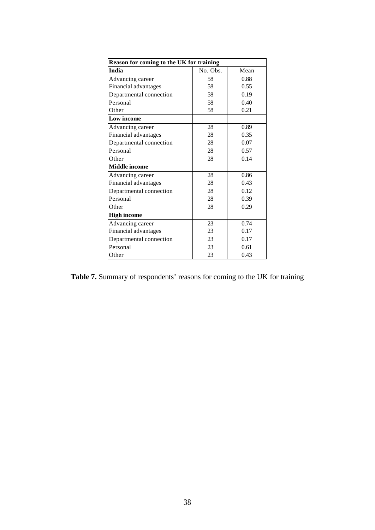| Reason for coming to the UK for training |          |      |  |  |  |  |  |  |
|------------------------------------------|----------|------|--|--|--|--|--|--|
| India                                    | No. Obs. | Mean |  |  |  |  |  |  |
| Advancing career                         | 58       | 0.88 |  |  |  |  |  |  |
| Financial advantages                     | 58       | 0.55 |  |  |  |  |  |  |
| Departmental connection                  | 58       | 0.19 |  |  |  |  |  |  |
| Personal                                 | 58       | 0.40 |  |  |  |  |  |  |
| Other                                    | 58       | 0.21 |  |  |  |  |  |  |
| Low income                               |          |      |  |  |  |  |  |  |
| Advancing career                         | 28       | 0.89 |  |  |  |  |  |  |
| Financial advantages                     | 28       | 0.35 |  |  |  |  |  |  |
| Departmental connection                  | 28       | 0.07 |  |  |  |  |  |  |
| Personal                                 | 28       | 0.57 |  |  |  |  |  |  |
| Other                                    | 28       | 0.14 |  |  |  |  |  |  |
| <b>Middle</b> income                     |          |      |  |  |  |  |  |  |
| Advancing career                         | 28       | 0.86 |  |  |  |  |  |  |
| Financial advantages                     | 28       | 0.43 |  |  |  |  |  |  |
| Departmental connection                  | 28       | 0.12 |  |  |  |  |  |  |
| Personal                                 | 28       | 0.39 |  |  |  |  |  |  |
| Other                                    | 28       | 0.29 |  |  |  |  |  |  |
| <b>High income</b>                       |          |      |  |  |  |  |  |  |
| Advancing career                         | 23       | 0.74 |  |  |  |  |  |  |
| Financial advantages                     | 23       | 0.17 |  |  |  |  |  |  |
| Departmental connection                  | 23       | 0.17 |  |  |  |  |  |  |
| Personal                                 | 23       | 0.61 |  |  |  |  |  |  |
| Other                                    | 23       | 0.43 |  |  |  |  |  |  |

Table 7. Summary of respondents' reasons for coming to the UK for training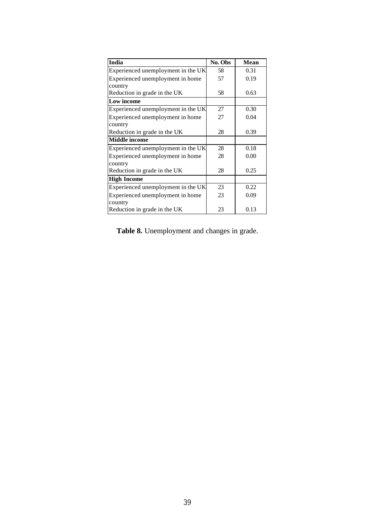| India                              | No. Obs | Mean |
|------------------------------------|---------|------|
| Experienced unemployment in the UK | 58      | 0.31 |
| Experienced unemployment in home   | 57      | 0.19 |
| country                            |         |      |
| Reduction in grade in the UK       | 58      | 0.63 |
| Low income                         |         |      |
| Experienced unemployment in the UK | 27      | 0.30 |
| Experienced unemployment in home   | 27      | 0.04 |
| country                            |         |      |
| Reduction in grade in the UK       | 28      | 0.39 |
| <b>Middle</b> income               |         |      |
| Experienced unemployment in the UK | 28      | 0.18 |
| Experienced unemployment in home   | 28      | 0.00 |
| country                            |         |      |
| Reduction in grade in the UK       | 28      | 0.25 |
| <b>High Income</b>                 |         |      |
| Experienced unemployment in the UK | 23      | 0.22 |
| Experienced unemployment in home   | 23      | 0.09 |
| country                            |         |      |
| Reduction in grade in the UK       | 23      | 0.13 |

**Table 8.** Unemployment and changes in grade.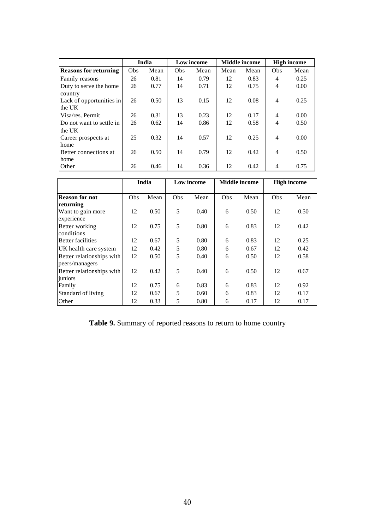|                              |     | India |     | Low income |      | <b>Middle</b> income |                | <b>High income</b> |
|------------------------------|-----|-------|-----|------------|------|----------------------|----------------|--------------------|
| <b>Reasons for returning</b> | Obs | Mean  | Obs | Mean       | Mean | Mean                 | Obs            | Mean               |
| Family reasons               | 26  | 0.81  | 14  | 0.79       | 12   | 0.83                 | 4              | 0.25               |
| Duty to serve the home       | 26  | 0.77  | 14  | 0.71       | 12   | 0.75                 | 4              | 0.00               |
| country                      |     |       |     |            |      |                      |                |                    |
| Lack of opportunities in     | 26  | 0.50  | 13  | 0.15       | 12   | 0.08                 | 4              | 0.25               |
| the UK                       |     |       |     |            |      |                      |                |                    |
| Visa/res. Permit.            | 26  | 0.31  | 13  | 0.23       | 12   | 0.17                 | $\overline{4}$ | 0.00               |
| Do not want to settle in     | 26  | 0.62  | 14  | 0.86       | 12   | 0.58                 | 4              | 0.50               |
| the UK                       |     |       |     |            |      |                      |                |                    |
| Career prospects at          | 25  | 0.32  | 14  | 0.57       | 12   | 0.25                 | 4              | 0.00               |
| home                         |     |       |     |            |      |                      |                |                    |
| Better connections at        | 26  | 0.50  | 14  | 0.79       | 12   | 0.42                 | 4              | 0.50               |
| home                         |     |       |     |            |      |                      |                |                    |
| Other                        | 26  | 0.46  | 14  | 0.36       | 12   | 0.42                 | 4              | 0.75               |

|                                             |     | India |     | Low income |     | <b>Middle</b> income |     | <b>High income</b> |
|---------------------------------------------|-----|-------|-----|------------|-----|----------------------|-----|--------------------|
| <b>Reason for not</b>                       | Obs | Mean  | Obs | Mean       | Obs | Mean                 | Obs | Mean               |
| returning                                   |     |       |     |            |     |                      |     |                    |
| Want to gain more<br>experience             | 12  | 0.50  | 5   | 0.40       | 6   | 0.50                 | 12  | 0.50               |
| Better working<br>conditions                | 12  | 0.75  | 5   | 0.80       | 6   | 0.83                 | 12  | 0.42               |
| <b>Better facilities</b>                    | 12  | 0.67  | 5   | 0.80       | 6   | 0.83                 | 12  | 0.25               |
| UK health care system                       | 12  | 0.42  | 5   | 0.80       | 6   | 0.67                 | 12  | 0.42               |
| Better relationships with<br>peers/managers | 12  | 0.50  | 5   | 0.40       | 6   | 0.50                 | 12  | 0.58               |
| Better relationships with<br>juniors        | 12  | 0.42  | 5   | 0.40       | 6   | 0.50                 | 12  | 0.67               |
| Family                                      | 12  | 0.75  | 6   | 0.83       | 6   | 0.83                 | 12  | 0.92               |
| Standard of living                          | 12  | 0.67  | 5   | 0.60       | 6   | 0.83                 | 12  | 0.17               |
| Other                                       | 12  | 0.33  | 5   | 0.80       | 6   | 0.17                 | 12  | 0.17               |

**Table 9.** Summary of reported reasons to return to home country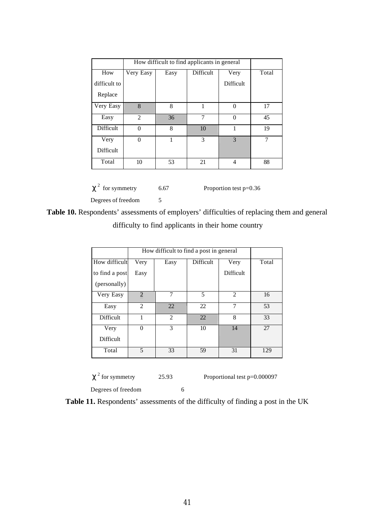|              | How difficult to find applicants in general |      |           |                  |                |
|--------------|---------------------------------------------|------|-----------|------------------|----------------|
| How          | Very Easy                                   | Easy | Difficult | Very             | Total          |
| difficult to |                                             |      |           | <b>Difficult</b> |                |
| Replace      |                                             |      |           |                  |                |
| Very Easy    | 8                                           | 8    | 1         | $\theta$         | 17             |
| Easy         | 2                                           | 36   | $\tau$    | $\Omega$         | 45             |
| Difficult    | $\Omega$                                    | 8    | 10        | 1                | 19             |
| Very         | $\theta$                                    |      | 3         | 3                | $\overline{7}$ |
| Difficult    |                                             |      |           |                  |                |
| Total        | 10                                          | 53   | 21        | $\overline{4}$   | 88             |

 $c<sup>2</sup>$  for symmetry

 $6.67$  Proportion test  $p=0.36$ 

Degrees of freedom 5

**Table 10.** Respondents' assessments of employers' difficulties of replacing them and general difficulty to find applicants in their home country

|                | How difficult to find a post in general |                |           |                  |       |
|----------------|-----------------------------------------|----------------|-----------|------------------|-------|
| How difficult  | Very                                    | Easy           | Difficult | Very             | Total |
| to find a post | Easy                                    |                |           | <b>Difficult</b> |       |
| (personally)   |                                         |                |           |                  |       |
| Very Easy      | $\overline{2}$                          |                | 5         | $\overline{2}$   | 16    |
| Easy           | $\mathcal{D}_{\mathcal{L}}$             | 22             | 22        | 7                | 53    |
| Difficult      | 1                                       | $\overline{2}$ | 22        | 8                | 33    |
| Very           | $\Omega$                                | 3              | 10        | 14               | 27    |
| Difficult      |                                         |                |           |                  |       |
| Total          | 5                                       | 33             | 59        | 31               | 129   |
|                |                                         |                |           |                  |       |

 $c<sup>2</sup>$  for symmetry Degrees of freedom 6

 $25.93$  Proportional test  $p=0.000097$ 

**Table 11.** Respondents' assessments of the difficulty of finding a post in the UK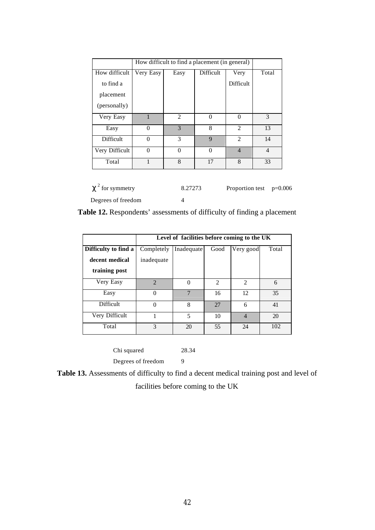|                |           | How difficult to find a placement (in general) |                  |                |                |  |
|----------------|-----------|------------------------------------------------|------------------|----------------|----------------|--|
| How difficult  | Very Easy | Easy                                           | <b>Difficult</b> | Very           | Total          |  |
| to find a      |           |                                                |                  | Difficult      |                |  |
| placement      |           |                                                |                  |                |                |  |
| (personally)   |           |                                                |                  |                |                |  |
| Very Easy      |           | $\mathfrak{D}$                                 | $\Omega$         | $\Omega$       | $\mathcal{E}$  |  |
| Easy           | $\Omega$  | 3                                              | 8                | $\mathfrak{D}$ | 13             |  |
| Difficult      | $\Omega$  | 3                                              | $\mathbf Q$      | $\mathcal{L}$  | 14             |  |
| Very Difficult | 0         | $\Omega$                                       | $\Omega$         | $\overline{4}$ | $\overline{4}$ |  |
| Total          |           | 8                                              | 17               | 8              | 33             |  |

| $\mathbf{c}^2$ for symmetry | 8.27273 | Proportion test $p=0.006$ |  |
|-----------------------------|---------|---------------------------|--|
| Degrees of freedom          |         |                           |  |

**Table 12.** Respondents' assessments of difficulty of finding a placement

|                      | Level of facilities before coming to the UK |                |               |                             |       |  |  |  |
|----------------------|---------------------------------------------|----------------|---------------|-----------------------------|-------|--|--|--|
| Difficulty to find a | Completely                                  | Inadequate     | Good          | Very good                   | Total |  |  |  |
| decent medical       | inadequate                                  |                |               |                             |       |  |  |  |
| training post        |                                             |                |               |                             |       |  |  |  |
| Very Easy            | $\mathcal{D}$                               |                | $\mathcal{D}$ | $\mathcal{D}_{\mathcal{A}}$ | 6     |  |  |  |
| Easy                 | 0                                           | 7              | 16            | 12                          | 35    |  |  |  |
| Difficult            |                                             | $\mathsf{\ }$  | 27            | 6                           | 41    |  |  |  |
| Very Difficult       |                                             | $\overline{5}$ | 10            | $\overline{4}$              | 20    |  |  |  |
| Total                | 3                                           | 20             | 55            | 24                          | 102   |  |  |  |

Chi squared 28.34 Degrees of freedom 9

**Table 13.** Assessments of difficulty to find a decent medical training post and level of facilities before coming to the UK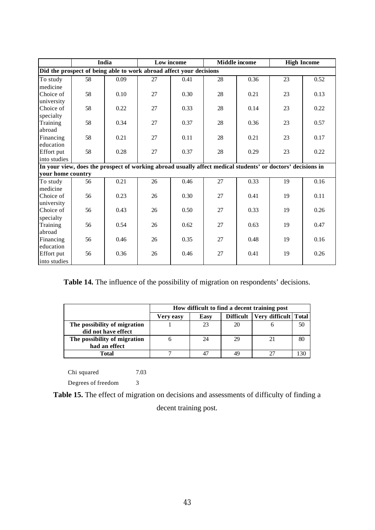|                                                                                                             | India |      | Low income |      | <b>Middle</b> income |      | <b>High Income</b> |      |
|-------------------------------------------------------------------------------------------------------------|-------|------|------------|------|----------------------|------|--------------------|------|
| Did the prospect of being able to work abroad affect your decisions                                         |       |      |            |      |                      |      |                    |      |
| To study                                                                                                    | 58    | 0.09 | 27         | 0.41 | 28                   | 0.36 | 23                 | 0.52 |
| medicine                                                                                                    |       |      |            |      |                      |      |                    |      |
| Choice of                                                                                                   | 58    | 0.10 | 27         | 0.30 | 28                   | 0.21 | 23                 | 0.13 |
| university                                                                                                  |       |      |            |      |                      |      |                    |      |
| Choice of                                                                                                   | 58    | 0.22 | 27         | 0.33 | 28                   | 0.14 | 23                 | 0.22 |
| specialty                                                                                                   |       |      |            |      |                      |      |                    |      |
| Training                                                                                                    | 58    | 0.34 | 27         | 0.37 | 28                   | 0.36 | 23                 | 0.57 |
| abroad                                                                                                      |       |      |            |      |                      |      |                    |      |
| Financing                                                                                                   | 58    | 0.21 | 27         | 0.11 | 28                   | 0.21 | 23                 | 0.17 |
| education                                                                                                   |       |      |            |      |                      |      |                    |      |
| Effort put                                                                                                  | 58    | 0.28 | 27         | 0.37 | 28                   | 0.29 | 23                 | 0.22 |
| into studies                                                                                                |       |      |            |      |                      |      |                    |      |
| In your view, does the prospect of working abroad usually affect medical students' or doctors' decisions in |       |      |            |      |                      |      |                    |      |
| your home country                                                                                           |       |      |            |      |                      |      |                    |      |
| To study                                                                                                    | 56    | 0.21 | 26         | 0.46 | 27                   | 0.33 | 19                 | 0.16 |
| medicine                                                                                                    |       | 0.23 | 26         | 0.30 | 27                   |      |                    | 0.11 |
| Choice of<br>university                                                                                     | 56    |      |            |      |                      | 0.41 | 19                 |      |
| Choice of                                                                                                   | 56    | 0.43 | 26         | 0.50 | 27                   | 0.33 | 19                 | 0.26 |
| specialty                                                                                                   |       |      |            |      |                      |      |                    |      |
| Training                                                                                                    | 56    | 0.54 | 26         | 0.62 | 27                   | 0.63 | 19                 | 0.47 |
| abroad                                                                                                      |       |      |            |      |                      |      |                    |      |
| Financing                                                                                                   | 56    | 0.46 | 26         | 0.35 | 27                   | 0.48 | 19                 | 0.16 |
| education                                                                                                   |       |      |            |      |                      |      |                    |      |
| Effort put                                                                                                  | 56    | 0.36 | 26         | 0.46 | 27                   | 0.41 | 19                 | 0.26 |
| into studies                                                                                                |       |      |            |      |                      |      |                    |      |

**Table 14.** The influence of the possibility of migration on respondents' decisions.

|                                                     | How difficult to find a decent training post |      |           |                      |    |
|-----------------------------------------------------|----------------------------------------------|------|-----------|----------------------|----|
|                                                     | Very easy                                    | Easy | Difficult | Very difficult Total |    |
| The possibility of migration<br>did not have effect |                                              | 23   | 20        |                      | 50 |
| The possibility of migration<br>had an effect       |                                              | 24   | 29        |                      | 80 |
| Total                                               |                                              |      | 49        |                      |    |

Chi squared 7.03

Degrees of freedom 3

**Table 15.** The effect of migration on decisions and assessments of difficulty of finding a decent training post.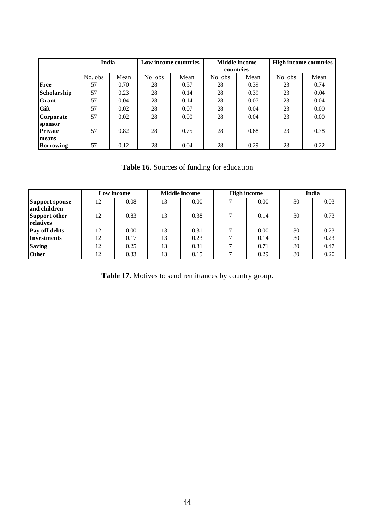|                           | India   |      | Low income countries |      | <b>Middle</b> income |      | <b>High income countries</b> |      |
|---------------------------|---------|------|----------------------|------|----------------------|------|------------------------------|------|
|                           |         |      |                      |      | countries            |      |                              |      |
|                           | No. obs | Mean | No. obs              | Mean | No. obs              | Mean | No. obs                      | Mean |
| <b>Free</b>               | 57      | 0.70 | 28                   | 0.57 | 28                   | 0.39 | 23                           | 0.74 |
| Scholarship               | 57      | 0.23 | 28                   | 0.14 | 28                   | 0.39 | 23                           | 0.04 |
| Grant                     | 57      | 0.04 | 28                   | 0.14 | 28                   | 0.07 | 23                           | 0.04 |
| Gift                      | 57      | 0.02 | 28                   | 0.07 | 28                   | 0.04 | 23                           | 0.00 |
| Corporate                 | 57      | 0.02 | 28                   | 0.00 | 28                   | 0.04 | 23                           | 0.00 |
| sponsor                   |         |      |                      |      |                      |      |                              |      |
| <b>Private</b>            | 57      | 0.82 | 28                   | 0.75 | 28                   | 0.68 | 23                           | 0.78 |
| means<br><b>Borrowing</b> | 57      | 0.12 | 28                   | 0.04 | 28                   | 0.29 | 23                           | 0.22 |

**Table 16.** Sources of funding for education

|                      |    | Low income |    | <b>Middle income</b> |               | <b>High income</b> |    | India |
|----------------------|----|------------|----|----------------------|---------------|--------------------|----|-------|
| Support spouse       | 12 | 0.08       | 13 | 0.00                 |               | 0.00               | 30 | 0.03  |
| and children         |    |            |    |                      |               |                    |    |       |
| <b>Support other</b> | 12 | 0.83       | 13 | 0.38                 | $\mathcal{L}$ | 0.14               | 30 | 0.73  |
| relatives            |    |            |    |                      |               |                    |    |       |
| Pay off debts        | 12 | 0.00       | 13 | 0.31                 |               | 0.00               | 30 | 0.23  |
| <b>Investments</b>   | 12 | 0.17       | 13 | 0.23                 | ⇁             | 0.14               | 30 | 0.23  |
| <b>Saving</b>        | 12 | 0.25       | 13 | 0.31                 |               | 0.71               | 30 | 0.47  |
| <b>Other</b>         | 12 | 0.33       | 13 | 0.15                 | $\mathbf{r}$  | 0.29               | 30 | 0.20  |

Table 17. Motives to send remittances by country group.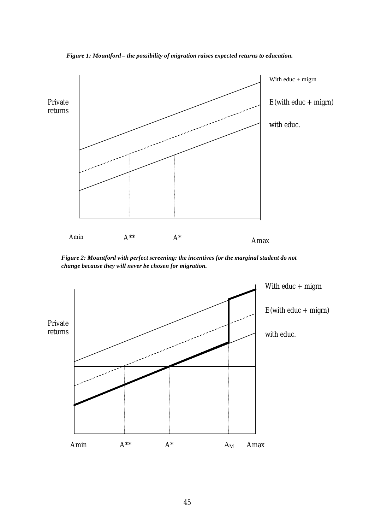

*Figure 1: Mountford – the possibility of migration raises expected returns to education.*

*Figure 2: Mountford with perfect screening: the incentives for the marginal student do not change because they will never be chosen for migration.*

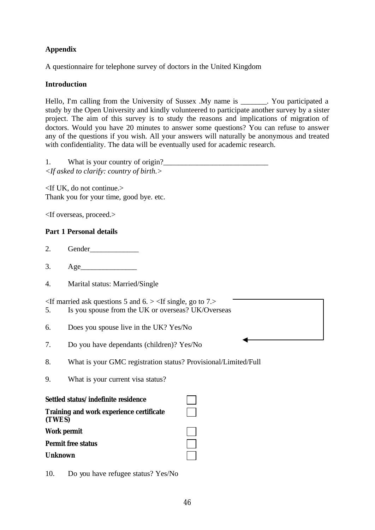# **Appendix**

A questionnaire for telephone survey of doctors in the United Kingdom

## **Introduction**

Hello, I'm calling from the University of Sussex .My name is \_\_\_\_\_\_\_. You participated a study by the Open University and kindly volunteered to participate another survey by a sister project. The aim of this survey is to study the reasons and implications of migration of doctors. Would you have 20 minutes to answer some questions? You can refuse to answer any of the questions if you wish. All your answers will naturally be anonymous and treated with confidentiality. The data will be eventually used for academic research.

| What is your country of origin?                             |
|-------------------------------------------------------------|
| $\langle$ -If asked to clarify: country of birth. $\rangle$ |

<If UK, do not continue.> Thank you for your time, good bye. etc.

<If overseas, proceed.>

## **Part 1 Personal details**

- 2. Gender\_\_\_\_\_\_\_\_\_\_\_\_\_
- 3. Age\_\_\_\_\_\_\_\_\_\_\_\_\_\_\_
- 4. Marital status: Married/Single

 $\leq$ If married ask questions 5 and 6.  $>$   $\leq$ If single, go to 7. $>$ 

- 5. Is you spouse from the UK or overseas? UK/Overseas
- 6. Does you spouse live in the UK? Yes/No
- 7. Do you have dependants (children)? Yes/No
- 8. What is your GMC registration status? Provisional/Limited/Full
- 9. What is your current visa status?

#### **Settled status/indefinite residence**

**Training and work experience certificate (TWES)**

Work permit<br>Permit free status<br>Unknown **Permit free status** 

## **Unknown**



Oe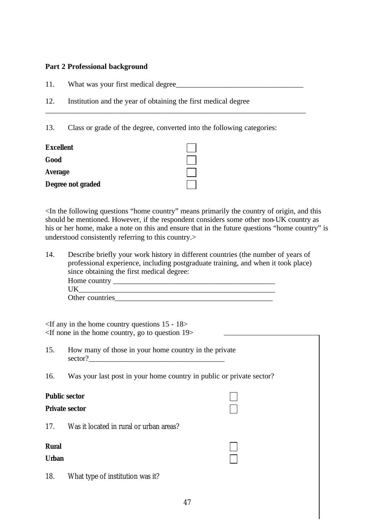## **Part 2 Professional background**

- 11. What was your first medical degree\_\_\_\_\_\_\_\_\_\_\_\_\_\_\_\_\_\_\_\_\_\_\_\_\_\_\_\_\_\_\_\_\_\_
- 12. Institution and the year of obtaining the first medical degree

13. Class or grade of the degree, converted into the following categories:

\_\_\_\_\_\_\_\_\_\_\_\_\_\_\_\_\_\_\_\_\_\_\_\_\_\_\_\_\_\_\_\_\_\_\_\_\_\_\_\_\_\_\_\_\_\_\_\_\_\_\_\_\_\_\_\_\_\_\_\_\_\_\_\_\_\_\_\_\_

| <b>Excellent</b>  |  |
|-------------------|--|
| Good              |  |
| <b>Average</b>    |  |
| Degree not graded |  |

<In the following questions "home country" means primarily the country of origin, and this should be mentioned. However, if the respondent considers some other non-UK country as his or her home, make a note on this and ensure that in the future questions "home country" is understood consistently referring to this country.>

14. Describe briefly your work history in different countries (the number of years of professional experience, including postgraduate training, and when it took place) since obtaining the first medical degree: Home country \_\_\_\_\_\_\_\_\_\_\_\_\_\_\_\_\_\_\_\_\_\_\_\_\_\_\_\_\_\_\_\_\_\_\_\_\_\_\_\_\_\_\_  $UK$ Other countries

<If any in the home country questions 15 - 18> <If none in the home country, go to question 19>

- 15. How many of those in your home country in the private  $\text{sector?}$
- 16. Was your last post in your home country in public or private sector?

## **Public sector**

#### **Private sector**

17. Was it located in rural or urban areas?

#### **Rural** of the contract of the contract of the contract of the contract of the contract of the contract of the contract of the contract of the contract of the contract of the contract of the contract of the contract of the

#### **Urban** oeur and the contract of the contract of the contract of the contract of the contract of the contract of the contract of the contract of the contract of the contract of the contract of the contract of the contract

18. What type of institution was it?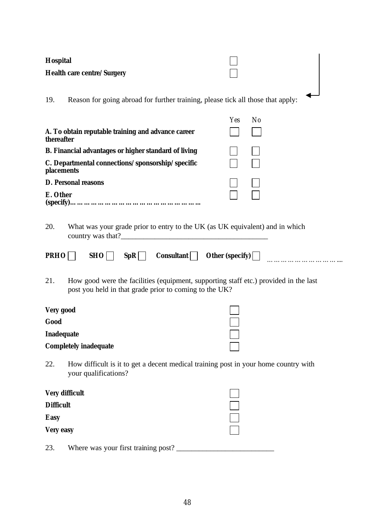| <b>Hospital</b>                                                                                                                                       |           |  |  |  |  |
|-------------------------------------------------------------------------------------------------------------------------------------------------------|-----------|--|--|--|--|
| <b>Health care centre/Surgery</b>                                                                                                                     |           |  |  |  |  |
| Reason for going abroad for further training, please tick all those that apply:<br>19.                                                                |           |  |  |  |  |
| A. To obtain reputable training and advance career<br>thereafter                                                                                      | No<br>Yes |  |  |  |  |
| <b>B. Financial advantages or higher standard of living</b>                                                                                           |           |  |  |  |  |
| C. Departmental connections/sponsorship/specific<br>placements                                                                                        |           |  |  |  |  |
| <b>D. Personal reasons</b>                                                                                                                            |           |  |  |  |  |
| E. Other                                                                                                                                              |           |  |  |  |  |
| 20.<br>What was your grade prior to entry to the UK (as UK equivalent) and in which<br>SpR   Consultant   Other (specify)  <br><b>PRHO</b><br>SHO     |           |  |  |  |  |
| 21.<br>How good were the facilities (equipment, supporting staff etc.) provided in the last<br>post you held in that grade prior to coming to the UK? |           |  |  |  |  |
| Very good                                                                                                                                             |           |  |  |  |  |
| Good                                                                                                                                                  |           |  |  |  |  |
| <b>Inadequate</b><br><b>Completely inadequate</b>                                                                                                     |           |  |  |  |  |
| How difficult is it to get a decent medical training post in your home country with<br>22.<br>your qualifications?                                    |           |  |  |  |  |
| <b>Very difficult</b>                                                                                                                                 |           |  |  |  |  |
| <b>Difficult</b>                                                                                                                                      |           |  |  |  |  |
| <b>Easy</b>                                                                                                                                           |           |  |  |  |  |
| <b>Very easy</b>                                                                                                                                      |           |  |  |  |  |
| Where was your first training post?<br>23.                                                                                                            |           |  |  |  |  |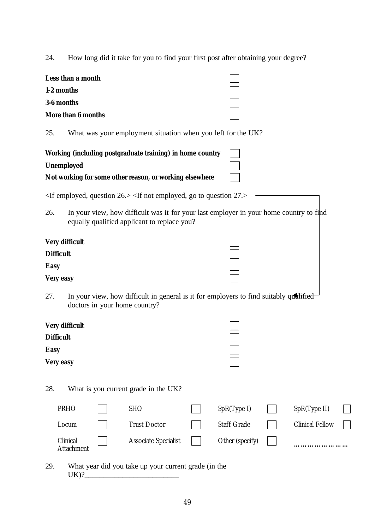24. How long did it take for you to find your first post after obtaining your degree?

| Less than a month  |  |
|--------------------|--|
| 1-2 months         |  |
| 3-6 months         |  |
| More than 6 months |  |

25. What was your employment situation when you left for the UK?

| Working (including postgraduate training) in home country |  |
|-----------------------------------------------------------|--|
| <b>Unemployed</b>                                         |  |
| Not working for some other reason, or working elsewhere   |  |

<If employed, question 26.> <If not employed, go to question 27.>

26. In your view, how difficult was it for your last employer in your home country to find equally qualified applicant to replace you?

| Very difficult   |  |
|------------------|--|
| <b>Difficult</b> |  |
| <b>Easy</b>      |  |
| Very easy        |  |

27. In your view, how difficult in general is it for employers to find suitably qualified doctors in your home country?

| <b>Very difficult</b> |  |
|-----------------------|--|
| <b>Difficult</b>      |  |
| <b>Easy</b>           |  |
| <b>Very easy</b>      |  |

28. What is you current grade in the UK?

| <b>PRHO</b>                   | <b>SHO</b>                  | SpR(Type I)                   | SpR(Type II)           |              |
|-------------------------------|-----------------------------|-------------------------------|------------------------|--------------|
| Locum                         | <b>Trust Doctor</b>         | <b>Staff Grade</b>            | <b>Clinical Fellow</b> | $\mathbf{1}$ |
| Clinical<br><b>Attachment</b> | <b>Associate Specialist</b> | Other (specify) $\vert \vert$ | .                      |              |

29. What year did you take up your current grade (in the  $UK)?$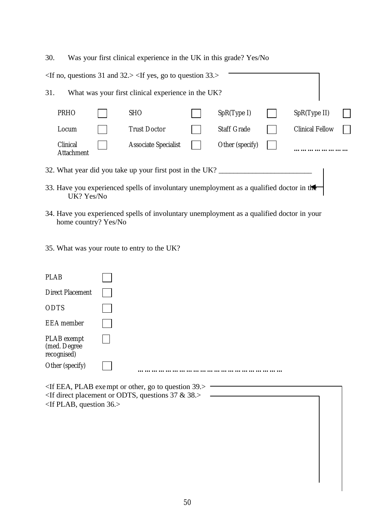30. Was your first clinical experience in the UK in this grade? Yes/No <If no, questions 31 and 32.> <If yes, go to question 33.> 31. What was your first clinical experience in the UK? PRHO SHO SHO  $\bigcap$  SpR(Type I)  $\bigcap$  SpR(Type II) Locum Trust Doctor **Clinical Fellow** Staff Grade **Clinical Fellow** Clinical **Attachment** Oe Associate Specialist Oe Other (specify) Oe **……………………** 32. What year did you take up your first post in the UK?

- 33. Have you experienced spells of involuntary unemployment as a qualified doctor in the UK? Yes/No
- 34. Have you experienced spells of involuntary unemployment as a qualified doctor in your home country? Yes/No
- 35. What was your route to entry to the UK?

| <b>PLAB</b>                                    |   |                       |  |  |
|------------------------------------------------|---|-----------------------|--|--|
| <b>Direct Placement</b>                        |   |                       |  |  |
| <b>ODTS</b>                                    |   |                       |  |  |
| <b>EEA</b> member                              |   |                       |  |  |
| PLAB exempt<br>(med. Degree<br>recognised)     |   |                       |  |  |
| Other (specify)                                |   |                       |  |  |
| $\mathbf{r} \cdot \mathbf{r} \cdot \mathbf{r}$ | . | $\cdot$ $\sim$ $\sim$ |  |  |

 $\le$ If EEA, PLAB exempt or other, go to question 39. $>$ <If direct placement or ODTS, questions 37 & 38.> <If PLAB, question 36.>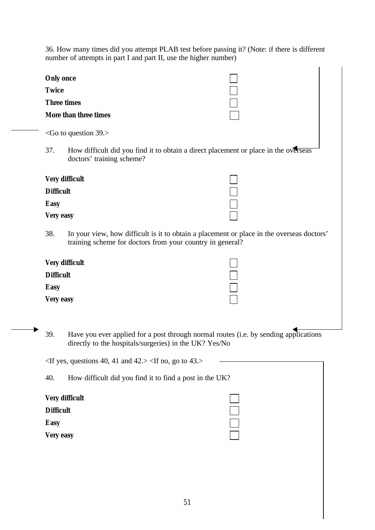36. How many times did you attempt PLAB test before passing it? (Note: if there is different number of attempts in part I and part II, use the higher number)

| <b>Only once</b> |                                                                                                                                                        |  |
|------------------|--------------------------------------------------------------------------------------------------------------------------------------------------------|--|
| <b>Twice</b>     |                                                                                                                                                        |  |
|                  | <b>Three times</b>                                                                                                                                     |  |
|                  | More than three times                                                                                                                                  |  |
|                  | $\le$ Go to question 39.>                                                                                                                              |  |
| 37.              | How difficult did you find it to obtain a direct placement or place in the overseas<br>doctors' training scheme?                                       |  |
|                  | <b>Very difficult</b>                                                                                                                                  |  |
| <b>Difficult</b> |                                                                                                                                                        |  |
| <b>Easy</b>      |                                                                                                                                                        |  |
| Very easy        |                                                                                                                                                        |  |
| 38.              | In your view, how difficult is it to obtain a placement or place in the overseas doctors'<br>training scheme for doctors from your country in general? |  |
|                  | <b>Very difficult</b>                                                                                                                                  |  |
| <b>Difficult</b> |                                                                                                                                                        |  |
| <b>Easy</b>      |                                                                                                                                                        |  |
| <b>Very easy</b> |                                                                                                                                                        |  |
| 39.              | Have you ever applied for a post through normal routes (i.e. by sending applications<br>directly to the hospitals/surgeries) in the UK? Yes/No         |  |
|                  | $\le$ If yes, questions 40, 41 and 42.> $\le$ If no, go to 43.>                                                                                        |  |
| 40.              | How difficult did you find it to find a post in the UK?                                                                                                |  |
|                  | <b>Very difficult</b>                                                                                                                                  |  |
| <b>Difficult</b> |                                                                                                                                                        |  |
| <b>Easy</b>      |                                                                                                                                                        |  |
|                  |                                                                                                                                                        |  |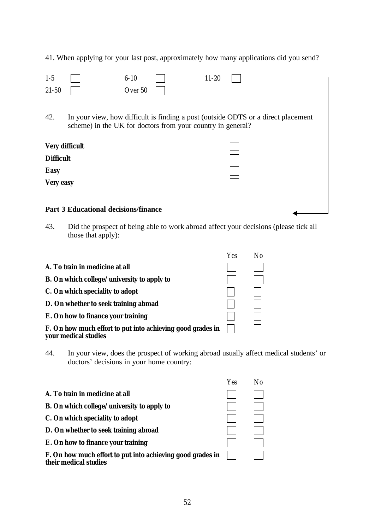41. When applying for your last post, approximately how many applications did you send?

| $1-5$<br>$21 - 50$    |                                                             | $6 - 10$<br>Over 50 | $11 - 20$ |                                                                                   |
|-----------------------|-------------------------------------------------------------|---------------------|-----------|-----------------------------------------------------------------------------------|
| 42.                   | scheme) in the UK for doctors from your country in general? |                     |           | In your view, how difficult is finding a post (outside ODTS or a direct placement |
| <b>Very difficult</b> |                                                             |                     |           |                                                                                   |
| <b>Difficult</b>      |                                                             |                     |           |                                                                                   |
| <b>Easy</b>           |                                                             |                     |           |                                                                                   |
| <b>Very easy</b>      |                                                             |                     |           |                                                                                   |
|                       | <b>Part 3 Educational decisions/finance</b>                 |                     |           |                                                                                   |

43. Did the prospect of being able to work abroad affect your decisions (please tick all those that apply):

|                                                                                    | Yes | N٥ |
|------------------------------------------------------------------------------------|-----|----|
| A. To train in medicine at all                                                     |     |    |
| <b>B.</b> On which college/university to apply to                                  |     |    |
| C. On which speciality to adopt                                                    |     |    |
| D. On whether to seek training abroad                                              |     |    |
| E. On how to finance your training                                                 |     |    |
| F. On how much effort to put into achieving good grades in<br>your medical studies |     |    |

44. In your view, does the prospect of working abroad usually affect medical students' or doctors' decisions in your home country:

|                                                                                     | Yes | Nο |
|-------------------------------------------------------------------------------------|-----|----|
| A. To train in medicine at all                                                      |     |    |
| <b>B.</b> On which college/university to apply to                                   |     |    |
| C. On which speciality to adopt                                                     |     |    |
| D. On whether to seek training abroad                                               |     |    |
| E. On how to finance your training                                                  |     |    |
| F. On how much effort to put into achieving good grades in<br>their medical studies |     |    |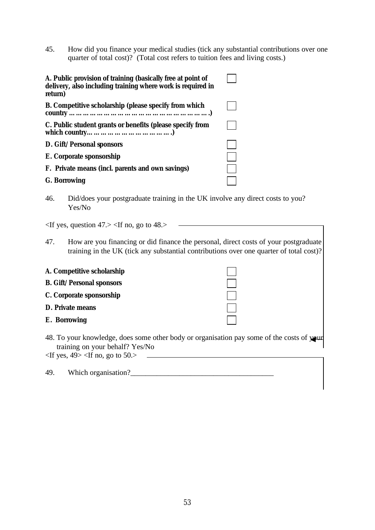45. How did you finance your medical studies (tick any substantial contributions over one quarter of total cost)? (Total cost refers to tuition fees and living costs.)

| A. Public provision of training (basically free at point of<br>delivery, also including training where work is required in<br>return) |  |
|---------------------------------------------------------------------------------------------------------------------------------------|--|
| B. Competitive scholarship (please specify from which                                                                                 |  |
| C. Public student grants or benefits (please specify from                                                                             |  |
| D. Gift/Personal sponsors                                                                                                             |  |
| E. Corporate sponsorship                                                                                                              |  |
| F. Private means (incl. parents and own savings)                                                                                      |  |
| <b>G.</b> Borrowing                                                                                                                   |  |

46. Did/does your postgraduate training in the UK involve any direct costs to you? Yes/No

 $\langle$ If yes, question 47. $>$   $\langle$ If no, go to 48. $>$ 

47. How are you financing or did finance the personal, direct costs of your postgraduate training in the UK (tick any substantial contributions over one quarter of total cost)?

| A. Competitive scholarship       |  |
|----------------------------------|--|
| <b>B.</b> Gift/Personal sponsors |  |
| C. Corporate sponsorship         |  |
| <b>D. Private means</b>          |  |
| E. Borrowing                     |  |

48. To your knowledge, does some other body or organisation pay some of the costs of your training on your behalf? Yes/No

 $\langle$ If yes, 49> $\langle$ If no, go to 50.>

| 49. | Which organisation? |  |
|-----|---------------------|--|
|     |                     |  |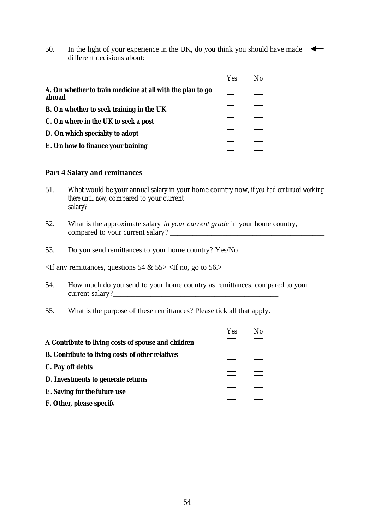50. In the light of your experience in the UK, do you think you should have made different decisions about:

|                                                                      | Yes | No |
|----------------------------------------------------------------------|-----|----|
| A. On whether to train medicine at all with the plan to go<br>abroad |     |    |
| B. On whether to seek training in the UK                             |     |    |
| C. On where in the UK to seek a post                                 |     |    |
| D. On which speciality to adopt                                      |     |    |
| E. On how to finance your training                                   |     |    |

## **Part 4 Salary and remittances**

- 51. What would be your annual salary in your home country now, *if you had continued working there until now*, compared to your current salary?
- 52. What is the approximate salary *in your current grade* in your home country, compared to your current salary?
- 53. Do you send remittances to your home country? Yes/No

 $\le$ If any remittances, questions 54 & 55> $\le$ If no, go to 56.>

- 54. How much do you send to your home country as remittances, compared to your current salary?
- 55. What is the purpose of these remittances? Please tick all that apply.

|                                                         | Yes | No |
|---------------------------------------------------------|-----|----|
| A Contribute to living costs of spouse and children     |     |    |
| <b>B.</b> Contribute to living costs of other relatives |     |    |
| C. Pay off debts                                        |     |    |
| D. Investments to generate returns                      |     |    |
| E. Saving for the future use                            |     |    |
| F. Other, please specify                                |     |    |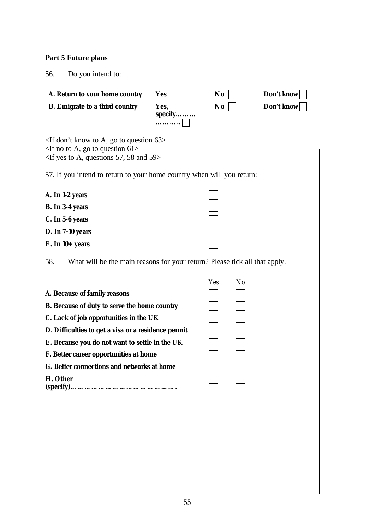## **Part 5 Future plans**

56. Do you intend to:

| A. Return to your home country        | Yes                 | $\bf{No}$ | Don't know |
|---------------------------------------|---------------------|-----------|------------|
| <b>B.</b> Emigrate to a third country | Yes.<br>specify<br> | $\bf{No}$ | Don't know |

<If don't know to A, go to question 63>  $\leq$ If no to A, go to question 61> <If yes to A, questions 57, 58 and 59>

57. If you intend to return to your home country when will you return:

| A. In 1-2 years         |  |
|-------------------------|--|
| <b>B.</b> In 3-4 years  |  |
| C. In 5-6 years         |  |
| <b>D. In 7-10 years</b> |  |
| $E.$ In 10+ years       |  |

58. What will be the main reasons for your return? Please tick all that apply.

|                                                     | Yes | N <sub>0</sub> |
|-----------------------------------------------------|-----|----------------|
| A. Because of family reasons                        |     |                |
| <b>B.</b> Because of duty to serve the home country |     |                |
| C. Lack of job opportunities in the UK              |     |                |
| D. Difficulties to get a visa or a residence permit |     |                |
| E. Because you do not want to settle in the UK      |     |                |
| F. Better career opportunities at home              |     |                |
| G. Better connections and networks at home          |     |                |
| H. Other                                            |     |                |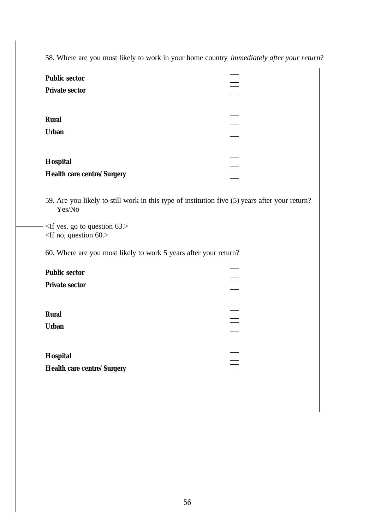58. Where are you most likely to work in your home country *immediately after your return*?

| <b>Public sector</b><br><b>Private sector</b>                                                            |  |
|----------------------------------------------------------------------------------------------------------|--|
| <b>Rural</b><br><b>Urban</b>                                                                             |  |
| <b>Hospital</b><br>Health care centre/Surgery                                                            |  |
| 59. Are you likely to still work in this type of institution five (5) years after your return?<br>Yes/No |  |
| $-$ <if 63.="" go="" question="" to="" yes,=""><br/><math>\langle</math>If no, question 60.&gt;</if>     |  |
| 60. Where are you most likely to work 5 years after your return?                                         |  |
| <b>Public sector</b><br><b>Private sector</b>                                                            |  |
| <b>Rural</b><br><b>Urban</b>                                                                             |  |
| <b>Hospital</b>                                                                                          |  |

**Health care centre/Surgery Oester Surgery**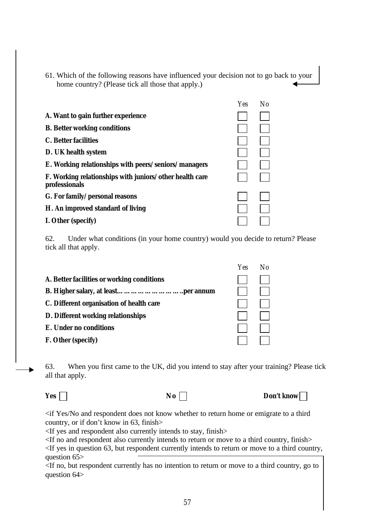61. Which of the following reasons have influenced your decision not to go back to your home country? (Please tick all those that apply.)

|                                                                          | Yes | No. |
|--------------------------------------------------------------------------|-----|-----|
| A. Want to gain further experience                                       |     |     |
| <b>B.</b> Better working conditions                                      |     |     |
| <b>C.</b> Better facilities                                              |     |     |
| D. UK health system                                                      |     |     |
| E. Working relationships with peers/seniors/managers                     |     |     |
| F. Working relationships with juniors/other health care<br>professionals |     |     |
| G. For family/personal reasons                                           |     |     |
| H. An improved standard of living                                        |     |     |
| I. Other (specify)                                                       |     |     |

62. Under what conditions (in your home country) would you decide to return? Please tick all that apply.

|                                            | 1 E.S | $1 \times 1$ |
|--------------------------------------------|-------|--------------|
| A. Better facilities or working conditions |       |              |
|                                            |       |              |
| C. Different organisation of health care   |       |              |
| D. Different working relationships         |       |              |
| E. Under no conditions                     |       |              |
| F. Other (specify)                         |       |              |
|                                            |       |              |

63. When you first came to the UK, did you intend to stay after your training? Please tick all that apply.

**Yes o No o No o Don't know o** 

 $V_{ee}$   $N_{\phi}$ 

<if Yes/No and respondent does not know whether to return home or emigrate to a third country, or if don't know in 63, finish>

<If yes and respondent also currently intends to stay, finish>

<If no and respondent also currently intends to return or move to a third country, finish>

<If yes in question 63, but respondent currently intends to return or move to a third country, question 65>

<If no, but respondent currently has no intention to return or move to a third country, go to question 64>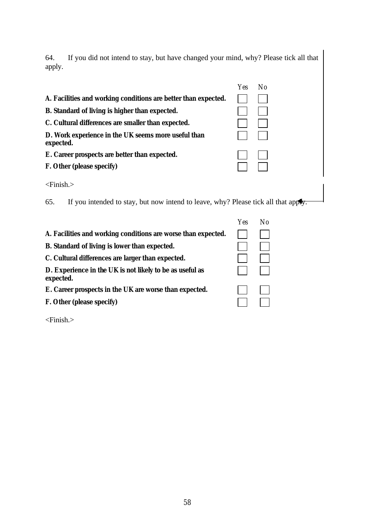64. If you did not intend to stay, but have changed your mind, why? Please tick all that apply.

|                                                                                           | Yes.       | N <sub>0</sub> |
|-------------------------------------------------------------------------------------------|------------|----------------|
| A. Facilities and working conditions are better than expected.                            |            |                |
| B. Standard of living is higher than expected.                                            |            |                |
| C. Cultural differences are smaller than expected.                                        |            |                |
| D. Work experience in the UK seems more useful than<br>expected.                          |            |                |
| E. Career prospects are better than expected.                                             |            |                |
| F. Other (please specify)                                                                 |            |                |
| $\le$ Finish. $>$                                                                         |            |                |
| If you intended to stay, but now intend to leave, why? Please tick all that apply.<br>65. |            |                |
|                                                                                           | <b>Yes</b> | No             |

Oe Oe

| A. Facilities and working conditions are worse than expected.         |  |
|-----------------------------------------------------------------------|--|
| B. Standard of living is lower than expected.                         |  |
| C. Cultural differences are larger than expected.                     |  |
| D. Experience in the UK is not likely to be as useful as<br>expected. |  |
| E. Career prospects in the UK are worse than expected.                |  |
| F. Other (please specify)                                             |  |
|                                                                       |  |

<Finish.>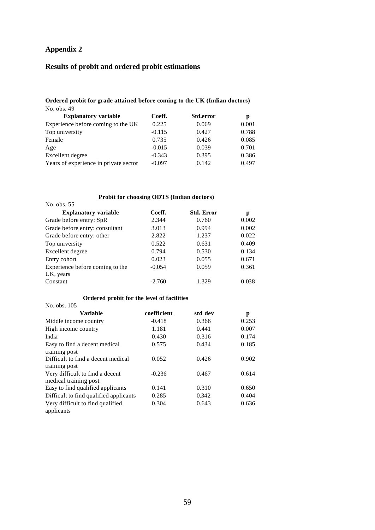# **Appendix 2**

# **Results of probit and ordered probit estimations**

#### **Ordered probit for grade attained before coming to the UK (Indian doctors)** No. obs. 49

| <b>Explanatory variable</b>           | Coeff.   | <b>Std.error</b> | р     |
|---------------------------------------|----------|------------------|-------|
| Experience before coming to the UK    | 0.225    | 0.069            | 0.001 |
| Top university                        | $-0.115$ | 0.427            | 0.788 |
| Female                                | 0.735    | 0.426            | 0.085 |
| Age                                   | $-0.015$ | 0.039            | 0.701 |
| Excellent degree                      | $-0.343$ | 0.395            | 0.386 |
| Years of experience in private sector | $-0.097$ | 0.142            | 0.497 |

## **Probit for choosing ODTS (Indian doctors)**

| No. obs. 55                     |          |                   |       |
|---------------------------------|----------|-------------------|-------|
| <b>Explanatory variable</b>     | Coeff.   | <b>Std. Error</b> | р     |
| Grade before entry: SpR         | 2.344    | 0.760             | 0.002 |
| Grade before entry: consultant  | 3.013    | 0.994             | 0.002 |
| Grade before entry: other       | 2.822    | 1.237             | 0.022 |
| Top university                  | 0.522    | 0.631             | 0.409 |
| Excellent degree                | 0.794    | 0.530             | 0.134 |
| Entry cohort                    | 0.023    | 0.055             | 0.671 |
| Experience before coming to the | $-0.054$ | 0.059             | 0.361 |
| UK, years                       |          |                   |       |
| Constant                        | $-2.760$ | 1.329             | 0.038 |

#### **Ordered probit for the level of facilities**

| No. obs. 105                           |             |         |       |
|----------------------------------------|-------------|---------|-------|
| Variable                               | coefficient | std dev | р     |
| Middle income country                  | $-0.418$    | 0.366   | 0.253 |
| High income country                    | 1.181       | 0.441   | 0.007 |
| India                                  | 0.430       | 0.316   | 0.174 |
| Easy to find a decent medical          | 0.575       | 0.434   | 0.185 |
| training post                          |             |         |       |
| Difficult to find a decent medical     | 0.052       | 0.426   | 0.902 |
| training post                          |             |         |       |
| Very difficult to find a decent        | $-0.236$    | 0.467   | 0.614 |
| medical training post                  |             |         |       |
| Easy to find qualified applicants      | 0.141       | 0.310   | 0.650 |
| Difficult to find qualified applicants | 0.285       | 0.342   | 0.404 |
| Very difficult to find qualified       | 0.304       | 0.643   | 0.636 |
| applicants                             |             |         |       |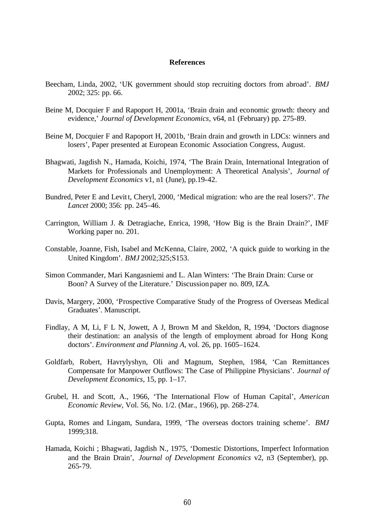#### **References**

- Beecham, Linda, 2002, 'UK government should stop recruiting doctors from abroad'. *BMJ* 2002; 325: pp. 66.
- Beine M, Docquier F and Rapoport H, 2001a, 'Brain drain and economic growth: theory and evidence,' *Journal of Development Economics,* v64, n1 (February) pp. 275-89.
- Beine M, Docquier F and Rapoport H, 2001b, 'Brain drain and growth in LDCs: winners and losers', Paper presented at European Economic Association Congress, August.
- Bhagwati, Jagdish N., Hamada, Koichi, 1974, 'The Brain Drain, International Integration of Markets for Professionals and Unemployment: A Theoretical Analysis', *Journal of Development Economics* v1, n1 (June), pp.19-42.
- Bundred, Peter E and Levitt, Cheryl, 2000, 'Medical migration: who are the real losers?'. *The Lancet* 2000; 356: pp. 245–46.
- Carrington, William J. & Detragiache, Enrica, 1998, 'How Big is the Brain Drain?', IMF Working paper no. 201.
- Constable, Joanne, Fish, Isabel and McKenna, Claire, 2002, 'A quick guide to working in the United Kingdom'. *BMJ* 2002;325;S153.
- Simon Commander, Mari Kangasniemi and L. Alan Winters: 'The Brain Drain: Curse or Boon? A Survey of the Literature.' Discussion paper no. 809, IZA.
- Davis, Margery, 2000, 'Prospective Comparative Study of the Progress of Overseas Medical Graduates'. Manuscript.
- Findlay, A M, Li, F L N, Jowett, A J, Brown M and Skeldon, R, 1994, 'Doctors diagnose their destination: an analysis of the length of employment abroad for Hong Kong doctors'. *Environment and Planning A*, vol. 26, pp. 1605–1624.
- Goldfarb, Robert, Havrylyshyn, Oli and Magnum, Stephen, 1984, 'Can Remittances Compensate for Manpower Outflows: The Case of Philippine Physicians'. *Journal of Development Economics*, 15, pp. 1–17.
- Grubel, H. and Scott, A., 1966, 'The International Flow of Human Capital', *American Economic Review*, Vol. 56, No. 1/2. (Mar., 1966), pp. 268-274.
- Gupta, Romes and Lingam, Sundara, 1999, 'The overseas doctors training scheme'. *BMJ* 1999;318.
- Hamada, Koichi ; Bhagwati, Jagdish N., 1975, 'Domestic Distortions, Imperfect Information and the Brain Drain', *Journal of Development Economics* v2, n3 (September), pp. 265-79.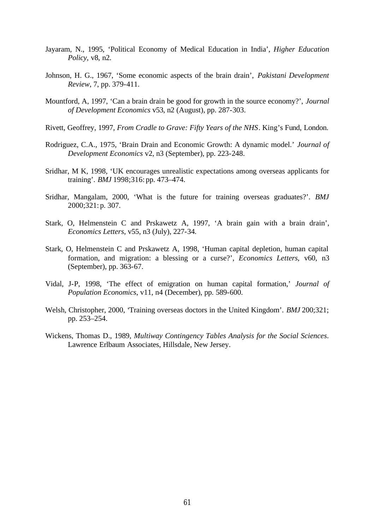- Jayaram, N., 1995, 'Political Economy of Medical Education in India', *Higher Education Policy*, v8, n2.
- Johnson, H. G., 1967, 'Some economic aspects of the brain drain', *Pakistani Development Review*, 7, pp. 379-411.
- Mountford, A, 1997, 'Can a brain drain be good for growth in the source economy?', *Journal of Development Economics* v53, n2 (August), pp. 287-303.
- Rivett, Geoffrey, 1997, *From Cradle to Grave: Fifty Years of the NHS*. King's Fund, London.
- Rodriguez, C.A., 1975, 'Brain Drain and Economic Growth: A dynamic model.' *Journal of Development Economics* v2, n3 (September), pp. 223-248.
- Sridhar, M K, 1998, 'UK encourages unrealistic expectations among overseas applicants for training'. *BMJ* 1998;316: pp. 473–474.
- Sridhar, Mangalam, 2000, 'What is the future for training overseas graduates?'. *BMJ* 2000;321: p. 307.
- Stark, O, Helmenstein C and Prskawetz A, 1997, 'A brain gain with a brain drain', *Economics Letters*, v55, n3 (July), 227-34*.*
- Stark, O, Helmenstein C and Prskawetz A, 1998, 'Human capital depletion, human capital formation, and migration: a blessing or a curse?', *Economics Letters*, v60, n3 (September), pp. 363-67.
- Vidal, J-P, 1998, 'The effect of emigration on human capital formation,' *Journal of Population Economics*, v11, n4 (December), pp. 589-600.
- Welsh, Christopher, 2000, 'Training overseas doctors in the United Kingdom'. *BMJ* 200;321; pp. 253–254.
- Wickens, Thomas D., 1989, *Multiway Contingency Tables Analysis for the Social Sciences*. Lawrence Erlbaum Associates, Hillsdale, New Jersey.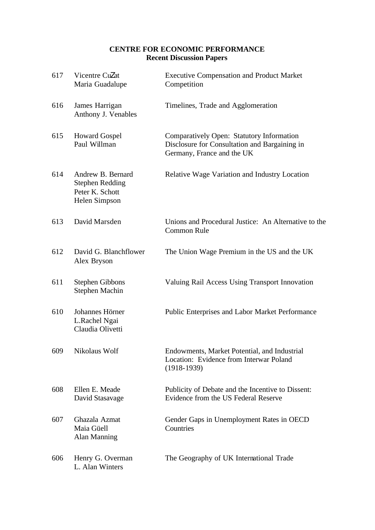# **CENTRE FOR ECONOMIC PERFORMANCE Recent Discussion Papers**

| 617 | Vicentre Cu <b>Z</b> at<br>Maria Guadalupe                                      | <b>Executive Compensation and Product Market</b><br>Competition                                                          |
|-----|---------------------------------------------------------------------------------|--------------------------------------------------------------------------------------------------------------------------|
| 616 | James Harrigan<br>Anthony J. Venables                                           | Timelines, Trade and Agglomeration                                                                                       |
| 615 | <b>Howard Gospel</b><br>Paul Willman                                            | Comparatively Open: Statutory Information<br>Disclosure for Consultation and Bargaining in<br>Germany, France and the UK |
| 614 | Andrew B. Bernard<br><b>Stephen Redding</b><br>Peter K. Schott<br>Helen Simpson | Relative Wage Variation and Industry Location                                                                            |
| 613 | David Marsden                                                                   | Unions and Procedural Justice: An Alternative to the<br><b>Common Rule</b>                                               |
| 612 | David G. Blanchflower<br>Alex Bryson                                            | The Union Wage Premium in the US and the UK                                                                              |
| 611 | <b>Stephen Gibbons</b><br>Stephen Machin                                        | Valuing Rail Access Using Transport Innovation                                                                           |
| 610 | Johannes Hörner<br>L.Rachel Ngai<br>Claudia Olivetti                            | Public Enterprises and Labor Market Performance                                                                          |
| 609 | Nikolaus Wolf                                                                   | Endowments. Market Potential, and Industrial<br>Location: Evidence from Interwar Poland<br>$(1918-1939)$                 |
| 608 | Ellen E. Meade<br>David Stasavage                                               | Publicity of Debate and the Incentive to Dissent:<br>Evidence from the US Federal Reserve                                |
| 607 | Ghazala Azmat<br>Maia Güell<br><b>Alan Manning</b>                              | Gender Gaps in Unemployment Rates in OECD<br>Countries                                                                   |
| 606 | Henry G. Overman<br>L. Alan Winters                                             | The Geography of UK International Trade                                                                                  |